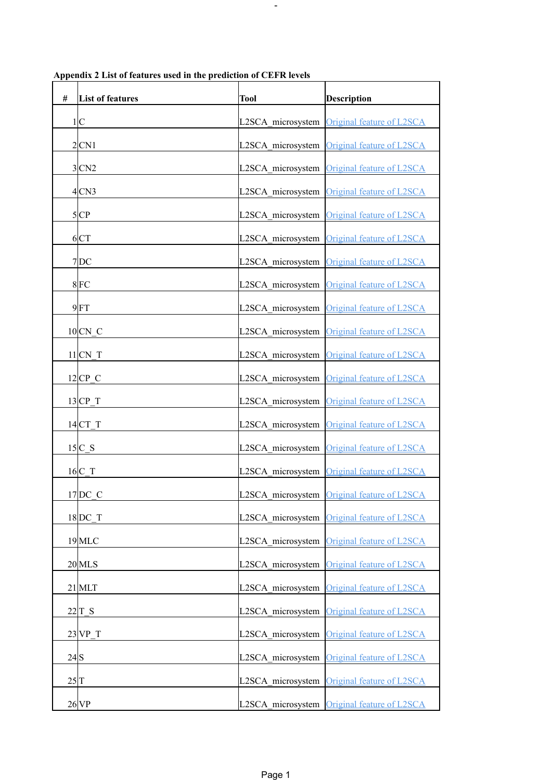| #                 | <b>List of features</b> | Tool              | <b>Description</b>                          |
|-------------------|-------------------------|-------------------|---------------------------------------------|
|                   | 1 C                     | L2SCA microsystem | Original feature of L2SCA                   |
|                   | 2 CN1                   | L2SCA microsystem | Original feature of L2SCA                   |
|                   | 3CN2                    | L2SCA microsystem | Original feature of L2SCA                   |
|                   | 4CN3                    | L2SCA microsystem | Original feature of L2SCA                   |
|                   | 5 CP                    | L2SCA microsystem | Original feature of L2SCA                   |
|                   | 6CT                     | L2SCA microsystem | Original feature of L2SCA                   |
|                   | $7$ DC                  | L2SCA microsystem | Original feature of L2SCA                   |
|                   | 8FC                     | L2SCA microsystem | Original feature of L2SCA                   |
|                   | $9$ FT                  | L2SCA microsystem | <b>Original feature of L2SCA</b>            |
|                   | $10CN$ C                | L2SCA microsystem | Original feature of L2SCA                   |
|                   | $11$ CN T               | L2SCA microsystem | <b>Original feature of L2SCA</b>            |
|                   | $12$ CP C               | L2SCA microsystem | Original feature of L2SCA                   |
|                   | $13$ CP T               | L2SCA microsystem | Original feature of L2SCA                   |
|                   | $14$ CT T               | L2SCA microsystem | Original feature of L2SCA                   |
|                   | $15C_S$                 | L2SCA microsystem | Original feature of L2SCA                   |
|                   | $16C$ <sup>T</sup>      | L2SCA microsystem | Original feature of L2SCA                   |
|                   | $17$ DC C               |                   | L2SCA_microsystem Original feature of L2SCA |
|                   | 18 DC T                 | L2SCA microsystem | Original feature of L2SCA                   |
|                   | 19 MLC                  | L2SCA microsystem | Original feature of L2SCA                   |
|                   | $20$ MLS                | L2SCA microsystem | Original feature of L2SCA                   |
|                   | $21$ MLT                | L2SCA microsystem | Original feature of L2SCA                   |
|                   | 22 T S                  | L2SCA microsystem | Original feature of L2SCA                   |
|                   | $23$ VP T               | L2SCA microsystem | Original feature of L2SCA                   |
| 24S               |                         | L2SCA microsystem | Original feature of L2SCA                   |
| $25$ <sup>T</sup> |                         | L2SCA microsystem | Original feature of L2SCA                   |
|                   | 26 <sub>VP</sub>        |                   | L2SCA microsystem Original feature of L2SCA |

**Appendix 2 List of features used in the prediction of CEFR levels**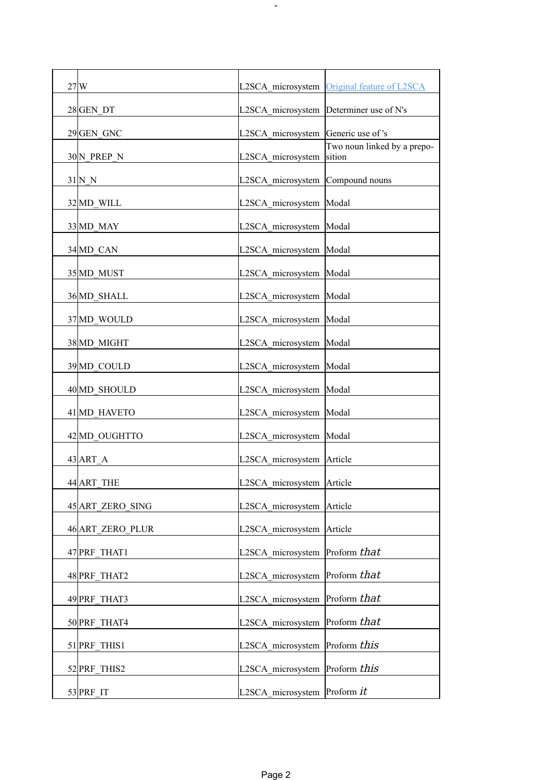| 27 W             |                                         | L2SCA microsystem Original feature of L2SCA |
|------------------|-----------------------------------------|---------------------------------------------|
| 28 GEN DT        | L2SCA_microsystem Determiner use of N's |                                             |
| 29 GEN GNC       | L2SCA microsystem                       | Generic use of 's                           |
| 30 N PREP N      | L2SCA microsystem                       | Two noun linked by a prepo-<br>sition       |
| 31 N N           | L2SCA microsystem                       | Compound nouns                              |
| 32 MD WILL       | L2SCA microsystem                       | Modal                                       |
| 33 MD MAY        | L2SCA microsystem                       | Modal                                       |
| 34 MD CAN        | L2SCA_microsystem                       | Modal                                       |
| 35 MD MUST       | L2SCA microsystem                       | Modal                                       |
| 36 MD SHALL      | L2SCA microsystem                       | Modal                                       |
| 37 MD WOULD      | L2SCA microsystem                       | Modal                                       |
| 38 MD MIGHT      | L2SCA microsystem                       | Modal                                       |
| 39 MD_COULD      | L2SCA microsystem                       | Modal                                       |
| 40 MD SHOULD     | L2SCA microsystem                       | Modal                                       |
| 41 MD HAVETO     | L2SCA microsystem                       | Modal                                       |
| 42 MD OUGHTTO    | L2SCA microsystem                       | Modal                                       |
| 43 ART A         | L2SCA_microsystem   Article             |                                             |
| 44 ART THE       | L2SCA_microsystem   Article             |                                             |
| 45 ART ZERO SING | L2SCA microsystem Article               |                                             |
| 46 ART ZERO PLUR | L2SCA microsystem                       | Article                                     |
| 47 PRF THAT1     | L2SCA microsystem                       | Proform that                                |
| 48 PRF THAT2     | L2SCA microsystem Proform that          |                                             |
| 49 PRF THAT3     | L2SCA microsystem                       | Proform that                                |
| 50 PRF THAT4     | L2SCA microsystem Proform that          |                                             |
| 51 PRF THIS1     | L2SCA microsystem                       | Proform this                                |
| 52 PRF THIS2     | L2SCA_microsystem  Proform this         |                                             |
| 53 PRF_IT        | L2SCA microsystem Proform it            |                                             |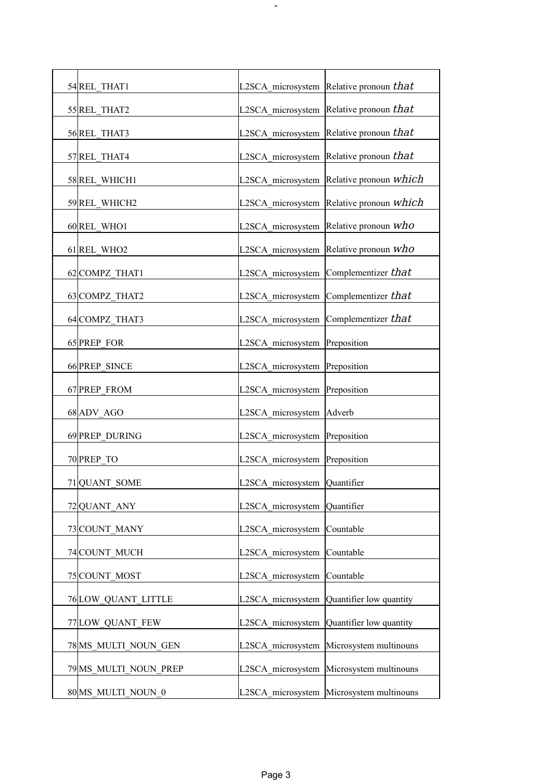| 54 REL THAT1              |                               | L2SCA microsystem Relative pronoun that         |
|---------------------------|-------------------------------|-------------------------------------------------|
| 55 REL THAT2              |                               | L2SCA_microsystem Relative pronoun that         |
| 56 REL THAT3              |                               | L2SCA microsystem Relative pronoun that         |
| 57 REL THAT4              | L2SCA microsystem             | Relative pronoun $that$                         |
| 58 REL WHICH1             |                               | L2SCA microsystem Relative pronoun <i>which</i> |
| 59 REL_WHICH2             |                               | L2SCA microsystem Relative pronoun which        |
| 60 REL WHO1               | L2SCA microsystem             | Relative pronoun $who$                          |
| 61 REL WHO2               | L2SCA microsystem             | Relative pronoun $who$                          |
| 62 COMPZ THAT1            | L2SCA microsystem             | Complementizer that                             |
| 63 COMPZ THAT2            | L2SCA microsystem             | Complementizer that                             |
| 64 COMPZ THAT3            | L2SCA microsystem             | Complementizer that                             |
| 65 PREP FOR               | L2SCA microsystem             | Preposition                                     |
| 66 PREP SINCE             | L2SCA microsystem             | Preposition                                     |
| 67 PREP FROM              | L2SCA microsystem Preposition |                                                 |
| 68 ADV AGO                | L2SCA microsystem             | Adverb                                          |
| 69 PREP DURING            | L2SCA microsystem Preposition |                                                 |
| 70 PREP TO                | L2SCA microsystem Preposition |                                                 |
| 71 QUANT_SOME             | L2SCA_microsystem Quantifier  |                                                 |
| 72 QUANT ANY              | L2SCA microsystem             | Quantifier                                      |
| 73 COUNT MANY             | L2SCA microsystem             | Countable                                       |
| 74 COUNT MUCH             | L2SCA microsystem             | Countable                                       |
| 75 COUNT MOST             | L2SCA microsystem Countable   |                                                 |
| <b>76LOW QUANT LITTLE</b> |                               | L2SCA microsystem Quantifier low quantity       |
| 77 LOW QUANT FEW          |                               | L2SCA microsystem Quantifier low quantity       |
| 78 MS_MULTI_NOUN_GEN      | L2SCA microsystem             | Microsystem multinouns                          |
| 79 MS MULTI NOUN PREP     |                               | L2SCA microsystem Microsystem multinouns        |
| 80 MS MULTI NOUN 0        |                               | L2SCA microsystem Microsystem multinouns        |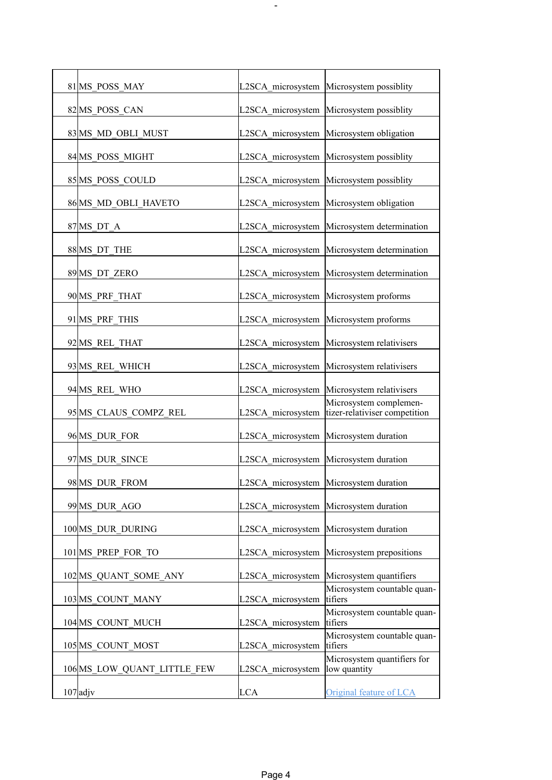| 81 MS POSS MAY                                   | L2SCA microsystem Microsystem possiblity<br>Microsystem possiblity |
|--------------------------------------------------|--------------------------------------------------------------------|
|                                                  |                                                                    |
| 82 MS POSS CAN<br>L2SCA microsystem              |                                                                    |
| 83 MS MD OBLI MUST<br>L2SCA microsystem          | Microsystem obligation                                             |
| 84 MS POSS MIGHT<br>L2SCA microsystem            | Microsystem possiblity                                             |
| 85 MS POSS COULD                                 | L2SCA microsystem Microsystem possiblity                           |
| 86 MS MD OBLI HAVETO                             | L2SCA microsystem Microsystem obligation                           |
| 87 MS DT A<br>L2SCA microsystem                  | Microsystem determination                                          |
| 88 MS DT THE<br>L2SCA_microsystem                | Microsystem determination                                          |
| L2SCA microsystem<br>89 MS DT ZERO               | Microsystem determination                                          |
| 90 MS PRF THAT<br>L2SCA microsystem              | Microsystem proforms                                               |
| 91 MS PRF THIS<br>L2SCA microsystem              | Microsystem proforms                                               |
| 92 MS REL THAT<br>L2SCA microsystem              | Microsystem relativisers                                           |
| L2SCA microsystem<br>93 MS REL WHICH             | Microsystem relativisers                                           |
| 94 MS REL WHO<br>L2SCA microsystem               | Microsystem relativisers                                           |
| 95 MS CLAUS COMPZ REL<br>L2SCA microsystem       | Microsystem complemen-<br>tizer-relativiser competition            |
| 96 MS DUR FOR<br>L2SCA microsystem               | Microsystem duration                                               |
| 97 MS DUR SINCE                                  | L2SCA microsystem Microsystem duration                             |
| 98 MS_DUR_FROM                                   | L2SCA_microsystem Microsystem duration                             |
| 99 MS DUR AGO                                    | L2SCA microsystem Microsystem duration                             |
| 100 MS DUR_DURING<br>L2SCA microsystem           | Microsystem duration                                               |
| 101 MS PREP FOR TO<br>L2SCA microsystem          | Microsystem prepositions                                           |
| L2SCA microsystem<br>102 MS QUANT SOME ANY       | Microsystem quantifiers                                            |
| 103 MS COUNT MANY<br>L2SCA microsystem           | Microsystem countable quan-<br>tifiers                             |
| L2SCA microsystem<br>104 MS COUNT MUCH           | Microsystem countable quan-<br>tifiers                             |
| L2SCA microsystem<br>105 MS COUNT MOST           | Microsystem countable quan-<br>tifiers                             |
| L2SCA microsystem<br>106 MS LOW QUANT LITTLE FEW | Microsystem quantifiers for<br>low quantity                        |
| $107$ adjv<br><b>LCA</b>                         | Original feature of LCA                                            |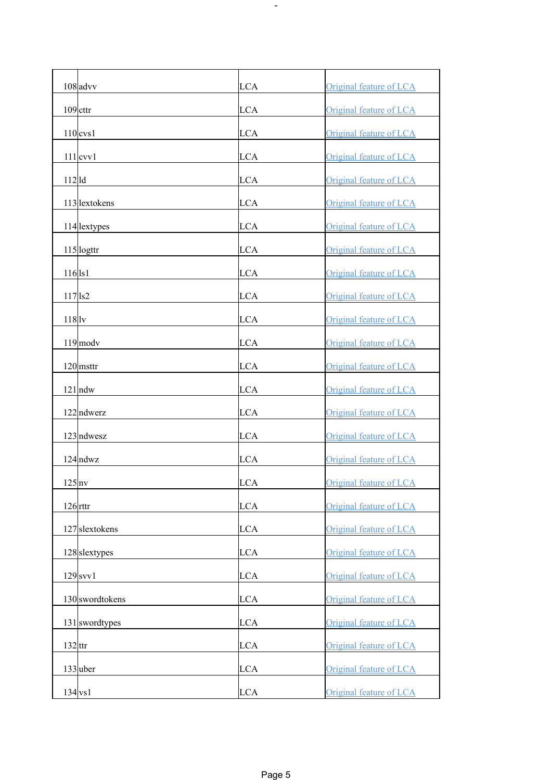| $108$ advv          | LCA        | Original feature of LCA |
|---------------------|------------|-------------------------|
| $109$ cttr          | LCA        | Original feature of LCA |
| $110$ cvs1          | LCA        | Original feature of LCA |
| $111$ cvv $1$       | LCA        | Original feature of LCA |
| $112$ d             | LCA        | Original feature of LCA |
| 113 lextokens       | LCA        | Original feature of LCA |
| 114 lextypes        | LCA        | Original feature of LCA |
| 115 logttr          | LCA        | Original feature of LCA |
| $116$ ls1           | LCA        | Original feature of LCA |
| $117$ $\text{ls2}$  | LCA        | Original feature of LCA |
| $118$ <sub>lv</sub> | <b>LCA</b> | Original feature of LCA |
| $119$ modv          | <b>LCA</b> | Original feature of LCA |
| $120$ msttr         | LCA        | Original feature of LCA |
| $121$ ndw           | LCA        | Original feature of LCA |
| $122$ ndwerz        | LCA        | Original feature of LCA |
| $123$ ndwesz        | <b>LCA</b> | Original feature of LCA |
| $124$ ndwz          | LCA        | Original feature of LCA |
| $125$ <sub>nv</sub> | LCA        | Original feature of LCA |
| $126$ rttr          | LCA        | Original feature of LCA |
| 127 slextokens      | LCA        | Original feature of LCA |
| $128$ slextypes     | LCA        | Original feature of LCA |
| $129$ svv $1$       | LCA        | Original feature of LCA |
| 130 swordtokens     | LCA        | Original feature of LCA |
| 131 swordtypes      | <b>LCA</b> | Original feature of LCA |
| $132$ ttr           | LCA        | Original feature of LCA |
| $133$ uber          | LCA        | Original feature of LCA |
| $134$ vs1           | LCA        | Original feature of LCA |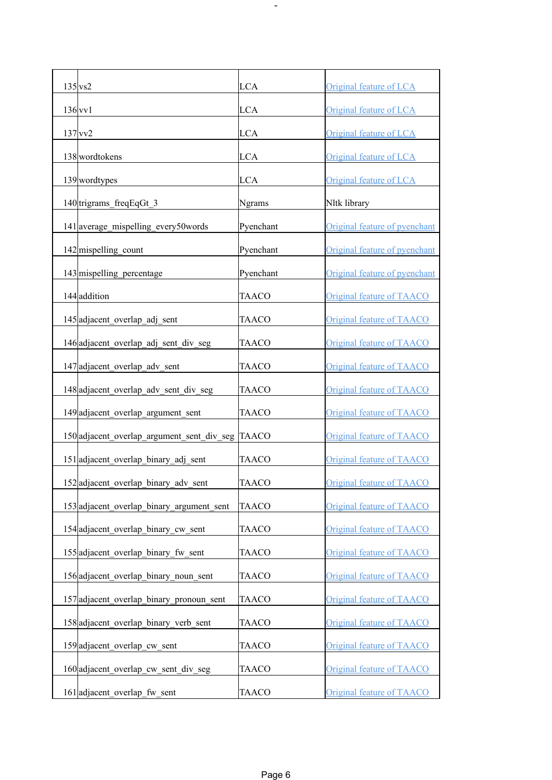| $135$ vs2                                        |               |                               |
|--------------------------------------------------|---------------|-------------------------------|
|                                                  | <b>LCA</b>    | Original feature of LCA       |
| $136$ vv1                                        | LCA           | Original feature of LCA       |
| $137$ vv2                                        | <b>LCA</b>    | Original feature of LCA       |
| 138 wordtokens                                   | LCA           | Original feature of LCA       |
| 139 wordtypes                                    | LCA           | Original feature of LCA       |
| 140 trigrams_freqEqGt_3                          | <b>Ngrams</b> | Nltk library                  |
| 141 average_mispelling_every50words              | Pyenchant     | Original feature of pyenchant |
| $142$ mispelling count                           | Pyenchant     | Original feature of pyenchant |
| 143 mispelling percentage                        | Pyenchant     | Original feature of pyenchant |
| 144 addition                                     | <b>TAACO</b>  | Original feature of TAACO     |
| 145 adjacent overlap adj sent                    | TAACO         | Original feature of TAACO     |
| 146 adjacent_overlap_adj_sent_div_seg            | <b>TAACO</b>  | Original feature of TAACO     |
| 147 adjacent_overlap_adv_sent                    | <b>TAACO</b>  | Original feature of TAACO     |
| 148 adjacent_overlap_adv_sent_div_seg            | <b>TAACO</b>  | Original feature of TAACO     |
| 149 adjacent_overlap_argument_sent               | <b>TAACO</b>  | Original feature of TAACO     |
| 150 adjacent overlap argument sent div seg TAACO |               | Original feature of TAACO     |
| 151 adjacent_overlap_binary_adj_sent             | <b>TAACO</b>  | Original feature of TAACO     |
| 152 adjacent_overlap_binary_adv_sent             | <b>TAACO</b>  | Original feature of TAACO     |
| 153 adjacent overlap binary argument sent        | <b>TAACO</b>  | Original feature of TAACO     |
| 154 adjacent overlap binary cw sent              | <b>TAACO</b>  | Original feature of TAACO     |
| 155 adjacent overlap binary fw sent              | TAACO         | Original feature of TAACO     |
| 156 adjacent overlap binary noun sent            | TAACO         | Original feature of TAACO     |
| 157 adjacent overlap binary pronoun sent         | TAACO         | Original feature of TAACO     |
| 158 adjacent overlap binary verb sent            | <b>TAACO</b>  | Original feature of TAACO     |
| 159 adjacent overlap cw sent                     | <b>TAACO</b>  | Original feature of TAACO     |
| 160 adjacent overlap cw sent div seg             | TAACO         | Original feature of TAACO     |
| 161 adjacent overlap fw sent                     | TAACO         | Original feature of TAACO     |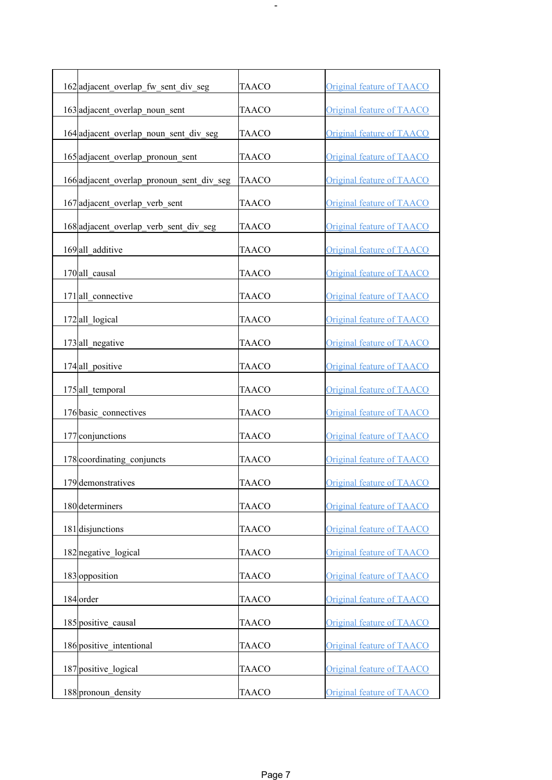| 162 adjacent overlap fw sent div seg      | <b>TAACO</b> | Original feature of TAACO        |
|-------------------------------------------|--------------|----------------------------------|
| 163 adjacent overlap noun sent            | <b>TAACO</b> | Original feature of TAACO        |
| 164 adjacent overlap noun sent div seg    | TAACO        | Original feature of TAACO        |
| 165 adjacent_overlap_pronoun sent         | <b>TAACO</b> | Original feature of TAACO        |
| 166 adjacent overlap pronoun sent div seg | <b>TAACO</b> | Original feature of TAACO        |
| 167 adjacent_overlap_verb_sent            | TAACO        | <b>Original feature of TAACO</b> |
| 168 adjacent_overlap_verb_sent_div_seg    | TAACO        | Original feature of TAACO        |
| 169 all additive                          | TAACO        | Original feature of TAACO        |
| 170 all causal                            | <b>TAACO</b> | Original feature of TAACO        |
| 171 all connective                        | <b>TAACO</b> | Original feature of TAACO        |
| 172 all logical                           | TAACO        | Original feature of TAACO        |
| 173 all_negative                          | <b>TAACO</b> | Original feature of TAACO        |
| 174 all positive                          | <b>TAACO</b> | Original feature of TAACO        |
| 175 all temporal                          | <b>TAACO</b> | Original feature of TAACO        |
| 176 basic connectives                     | <b>TAACO</b> | Original feature of TAACO        |
| 177 conjunctions                          | <b>TAACO</b> | Original feature of TAACO        |
| 178 coordinating conjuncts                | TAACO        | Original feature of TAACO        |
| 179 demonstratives                        | <b>TAACO</b> | Original feature of TAACO        |
| 180 determiners                           | <b>TAACO</b> | Original feature of TAACO        |
| 181 disjunctions                          | <b>TAACO</b> | Original feature of TAACO        |
| 182 negative logical                      | <b>TAACO</b> | Original feature of TAACO        |
| 183 opposition                            | <b>TAACO</b> | Original feature of TAACO        |
| 184 order                                 | <b>TAACO</b> | Original feature of TAACO        |
| 185 positive_causal                       | TAACO        | Original feature of TAACO        |
| 186 positive intentional                  | <b>TAACO</b> | Original feature of TAACO        |
| 187 positive logical                      | TAACO        | Original feature of TAACO        |
| 188 pronoun density                       | <b>TAACO</b> | Original feature of TAACO        |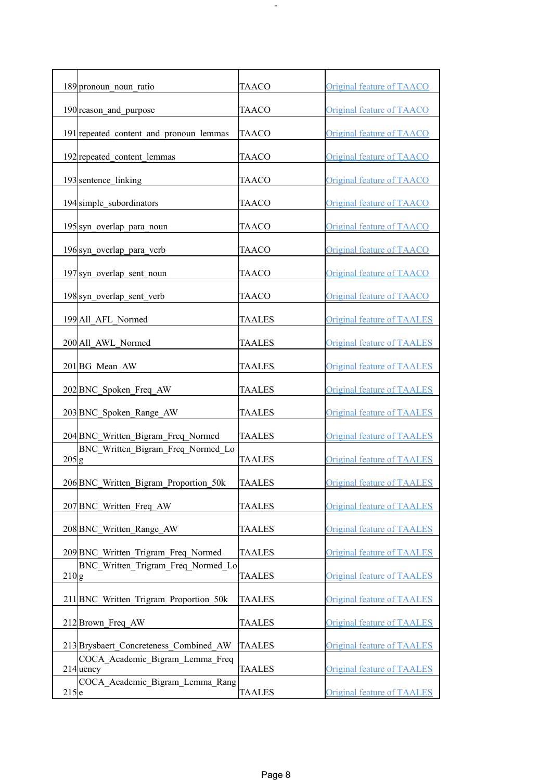| 189 pronoun_noun_ratio                                | <b>TAACO</b>  | Original feature of TAACO         |
|-------------------------------------------------------|---------------|-----------------------------------|
| 190 reason_and_purpose                                | <b>TAACO</b>  | Original feature of TAACO         |
| 191 repeated content and pronoun lemmas               | <b>TAACO</b>  | Original feature of TAACO         |
| 192 repeated content lemmas                           | <b>TAACO</b>  | Original feature of TAACO         |
| 193 sentence linking                                  | <b>TAACO</b>  | Original feature of TAACO         |
| 194 simple subordinators                              | TAACO         | Original feature of TAACO         |
| 195 syn_overlap_para_noun                             | <b>TAACO</b>  | Original feature of TAACO         |
| 196 syn overlap para verb                             | TAACO         | Original feature of TAACO         |
| 197 syn overlap sent noun                             | TAACO         | <b>Original feature of TAACO</b>  |
| 198 syn overlap sent verb                             | TAACO         | Original feature of TAACO         |
| 199 All AFL Normed                                    | <b>TAALES</b> | <b>Original feature of TAALES</b> |
| 200 All AWL Normed                                    | <b>TAALES</b> | <b>Original feature of TAALES</b> |
| 201 BG Mean AW                                        | <b>TAALES</b> | <b>Original feature of TAALES</b> |
| 202 BNC Spoken Freq AW                                | <b>TAALES</b> | <b>Original feature of TAALES</b> |
| 203 BNC Spoken Range AW                               | <b>TAALES</b> | <b>Original feature of TAALES</b> |
| 204 BNC Written Bigram Freq Normed                    | <b>TAALES</b> | <b>Original feature of TAALES</b> |
| BNC Written Bigram Freq Normed Lo<br>205 g            | <b>TAALES</b> | <b>Original feature of TAALES</b> |
| 206 BNC_Written_Bigram_Proportion_50k                 | <b>TAALES</b> | <b>Original feature of TAALES</b> |
| 207 BNC Written Freq AW                               | <b>TAALES</b> | <b>Original feature of TAALES</b> |
| 208 BNC Written Range AW                              | <b>TAALES</b> | <b>Original feature of TAALES</b> |
| 209 BNC Written Trigram Freq Normed                   | <b>TAALES</b> | <b>Original feature of TAALES</b> |
| BNC Written Trigram Freq Normed Lo<br>210 g           | <b>TAALES</b> | <b>Original feature of TAALES</b> |
| 211 BNC Written Trigram Proportion 50k                | <b>TAALES</b> | <b>Original feature of TAALES</b> |
| 212 Brown Freq AW                                     | <b>TAALES</b> | <b>Original feature of TAALES</b> |
| 213 Brysbaert Concreteness Combined AW                | <b>TAALES</b> | <b>Original feature of TAALES</b> |
| COCA Academic Bigram Lemma Freq<br>$214$ uency        | TAALES        | <b>Original feature of TAALES</b> |
| COCA Academic Bigram Lemma Rang<br>$215$ <sub>e</sub> | <b>TAALES</b> | <b>Original feature of TAALES</b> |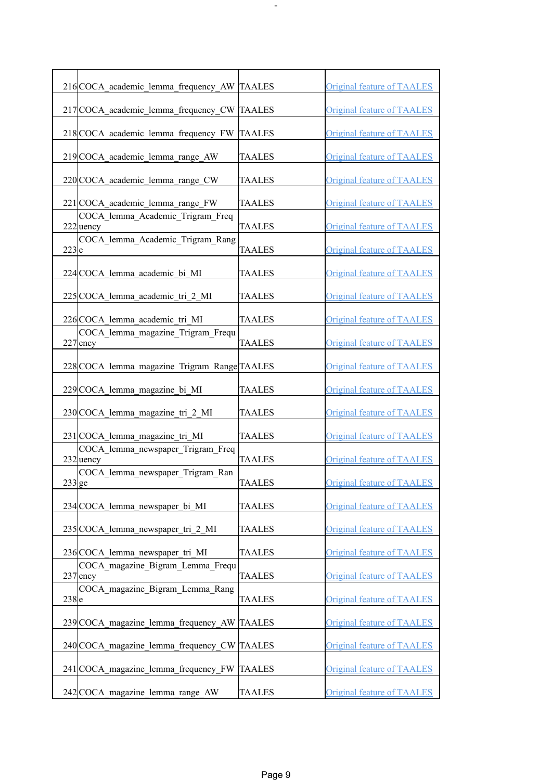| 216 COCA academic lemma frequency AW TAALES            |               | <b>Original feature of TAALES</b> |
|--------------------------------------------------------|---------------|-----------------------------------|
| 217 COCA_academic_lemma_frequency_CW TAALES            |               | <b>Original feature of TAALES</b> |
| 218 COCA academic lemma frequency FW                   | <b>TAALES</b> | <b>Original feature of TAALES</b> |
| 219 COCA academic lemma range AW                       | <b>TAALES</b> | <b>Original feature of TAALES</b> |
| 220 COCA academic lemma range CW                       | <b>TAALES</b> | <b>Original feature of TAALES</b> |
| 221 COCA academic lemma range FW                       | <b>TAALES</b> | <b>Original feature of TAALES</b> |
| COCA lemma Academic Trigram Freq<br>222 uency          | <b>TAALES</b> | <b>Original feature of TAALES</b> |
| COCA lemma Academic Trigram Rang<br>$223$ <sub>e</sub> | <b>TAALES</b> | <b>Original feature of TAALES</b> |
| 224 COCA lemma academic bi MI                          | TAALES        | <b>Original feature of TAALES</b> |
| 225 COCA lemma academic tri 2 MI                       | <b>TAALES</b> | <b>Original feature of TAALES</b> |
| 226 COCA lemma academic tri MI                         | <b>TAALES</b> | <b>Original feature of TAALES</b> |
| COCA lemma magazine Trigram Frequ<br>227 ency          | <b>TAALES</b> | <b>Original feature of TAALES</b> |
| 228 COCA lemma magazine Trigram Range TAALES           |               | <b>Original feature of TAALES</b> |
| 229 COCA_lemma_magazine_bi_MI                          | TAALES        | <b>Original feature of TAALES</b> |
| 230 COCA lemma magazine tri 2 MI                       | TAALES        | <b>Original feature of TAALES</b> |
| 231 COCA lemma magazine tri MI                         | <b>TAALES</b> | <b>Original feature of TAALES</b> |
| COCA_lemma_newspaper_Trigram_Freq<br>$232$ uency       | <b>TAALES</b> | <b>Original feature of TAALES</b> |
| COCA_lemma_newspaper_Trigram_Ran<br>$233$ ge           | <b>TAALES</b> | <b>Original feature of TAALES</b> |
| 234 COCA lemma newspaper bi MI                         | <b>TAALES</b> | Original feature of TAALES        |
| 235 COCA lemma newspaper tri 2 MI                      | <b>TAALES</b> | Original feature of TAALES        |
| 236 COCA lemma newspaper tri MI                        | <b>TAALES</b> | <b>Original feature of TAALES</b> |
| COCA magazine Bigram Lemma Frequ<br>$237$ ency         | <b>TAALES</b> | <b>Original feature of TAALES</b> |
| COCA magazine Bigram Lemma Rang<br>$238$ e             | <b>TAALES</b> | <b>Original feature of TAALES</b> |
| 239 COCA magazine lemma frequency AW TAALES            |               | <b>Original feature of TAALES</b> |
| 240 COCA magazine lemma frequency CW TAALES            |               | <b>Original feature of TAALES</b> |
| 241 COCA magazine lemma frequency FW TAALES            |               | <b>Original feature of TAALES</b> |
| 242 COCA magazine lemma range AW                       | <b>TAALES</b> | Original feature of TAALES        |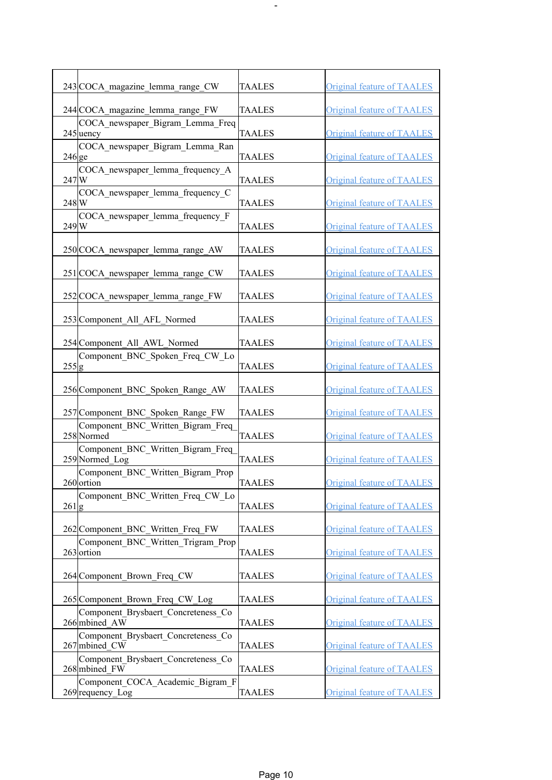|                    | 243 COCA magazine lemma range CW                                        | <b>TAALES</b> | <b>Original feature of TAALES</b> |
|--------------------|-------------------------------------------------------------------------|---------------|-----------------------------------|
|                    | 244 COCA magazine lemma range FW                                        | <b>TAALES</b> | <b>Original feature of TAALES</b> |
|                    | COCA newspaper Bigram Lemma Freq<br>245 uency                           | <b>TAALES</b> | <b>Original feature of TAALES</b> |
| $246$ ge           | COCA newspaper Bigram Lemma Ran                                         | <b>TAALES</b> | <b>Original feature of TAALES</b> |
| 247W               | COCA newspaper_lemma_frequency_A                                        | <b>TAALES</b> | <b>Original feature of TAALES</b> |
| $248$ <sub>W</sub> | COCA newspaper lemma frequency C                                        | <b>TAALES</b> | <b>Original feature of TAALES</b> |
| 249 W              | COCA newspaper lemma frequency F                                        | <b>TAALES</b> | <b>Original feature of TAALES</b> |
|                    |                                                                         |               |                                   |
|                    | 250 COCA_newspaper_lemma_range_AW                                       | <b>TAALES</b> | <b>Original feature of TAALES</b> |
|                    | 251 COCA_newspaper_lemma_range_CW                                       | <b>TAALES</b> | Original feature of TAALES        |
|                    | 252 COCA newspaper lemma range FW                                       | TAALES        | <b>Original feature of TAALES</b> |
|                    | 253 Component All AFL Normed                                            | <b>TAALES</b> | <b>Original feature of TAALES</b> |
|                    | 254 Component All AWL Normed                                            | <b>TAALES</b> | <b>Original feature of TAALES</b> |
| $255$ g            | Component BNC Spoken Freq CW Lo                                         | <b>TAALES</b> | <b>Original feature of TAALES</b> |
|                    | 256 Component BNC Spoken Range AW                                       | <b>TAALES</b> | <b>Original feature of TAALES</b> |
|                    | 257 Component BNC Spoken Range FW                                       | <b>TAALES</b> | <b>Original feature of TAALES</b> |
|                    | Component_BNC_Written_Bigram_Freq<br>258 Normed                         | <b>TAALES</b> | Original feature of TAALES        |
|                    | Component BNC Written Bigram Freq<br>259 Normed_Log                     | <b>TAALES</b> | <b>Original feature of TAALES</b> |
|                    | Component_BNC_Written_Bigram_Prop<br>$260$ ortion                       | <b>TAALES</b> | Original feature of TAALES        |
| $261$ g            | Component BNC Written Freq CW Lo                                        | <b>TAALES</b> | <b>Original feature of TAALES</b> |
|                    |                                                                         |               |                                   |
|                    | 262 Component BNC_Written_Freq_FW<br>Component BNC Written Trigram Prop | <b>TAALES</b> | Original feature of TAALES        |
|                    | 263 ortion                                                              | <b>TAALES</b> | <b>Original feature of TAALES</b> |
|                    | 264 Component Brown Freq CW                                             | <b>TAALES</b> | <b>Original feature of TAALES</b> |
|                    | 265 Component_Brown_Freq_CW_Log                                         | <b>TAALES</b> | <b>Original feature of TAALES</b> |
|                    | Component Brysbaert Concreteness Co<br>266 mbined AW                    | <b>TAALES</b> | <b>Original feature of TAALES</b> |
|                    | Component_Brysbaert Concreteness Co<br>267 mbined CW                    | <b>TAALES</b> | <b>Original feature of TAALES</b> |
|                    | Component Brysbaert Concreteness Co<br>268 mbined FW                    | <b>TAALES</b> | <b>Original feature of TAALES</b> |
|                    | Component COCA Academic Bigram F<br>269 requency_Log                    | <b>TAALES</b> | <b>Original feature of TAALES</b> |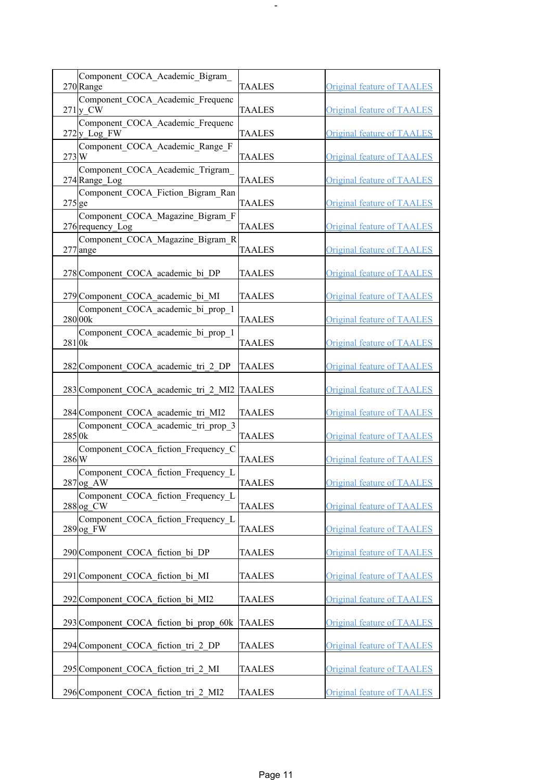| Component COCA Academic Bigram                           |               |                                   |
|----------------------------------------------------------|---------------|-----------------------------------|
| 270 Range<br>Component COCA Academic Frequenc            | <b>TAALES</b> | <b>Original feature of TAALES</b> |
| $271$ <sub>y</sub> CW                                    | <b>TAALES</b> | <b>Original feature of TAALES</b> |
| Component COCA Academic Frequenc<br>272y Log FW          | <b>TAALES</b> | <b>Original feature of TAALES</b> |
| Component COCA Academic Range F<br>273W                  | <b>TAALES</b> | <b>Original feature of TAALES</b> |
| Component COCA Academic Trigram<br>274 Range Log         | <b>TAALES</b> | <b>Original feature of TAALES</b> |
| Component COCA Fiction Bigram Ran<br>$275$ ge            | <b>TAALES</b> | <b>Original feature of TAALES</b> |
| Component COCA Magazine Bigram F<br>276 requency_Log     | <b>TAALES</b> | <b>Original feature of TAALES</b> |
| Component_COCA_Magazine Bigram R<br>277 ange             | <b>TAALES</b> | <b>Original feature of TAALES</b> |
| 278 Component COCA academic bi DP                        | <b>TAALES</b> | <b>Original feature of TAALES</b> |
| 279 Component COCA academic bi MI                        | TAALES        | <b>Original feature of TAALES</b> |
| Component COCA academic bi prop 1<br>280 00k             | <b>TAALES</b> | <b>Original feature of TAALES</b> |
| Component_COCA_academic_bi_prop_1<br>281 <sub>0</sub> k  | <b>TAALES</b> | <b>Original feature of TAALES</b> |
| 282 Component COCA academic tri 2 DP                     | <b>TAALES</b> | <b>Original feature of TAALES</b> |
| 283 Component COCA academic tri 2 MI2                    | <b>TAALES</b> | <b>Original feature of TAALES</b> |
| 284 Component COCA academic tri MI2                      | TAALES        | <b>Original feature of TAALES</b> |
| Component COCA academic tri prop 3<br>285 <sub>0</sub> k | <b>TAALES</b> | <b>Original feature of TAALES</b> |
| Component COCA fiction Frequency C<br>$286$ <sub>W</sub> | <b>TAALES</b> | <b>Original feature of TAALES</b> |
| Component COCA fiction Frequency L<br>$287$ og AW        | <b>TAALES</b> | <b>Original feature of TAALES</b> |
| Component COCA fiction Frequency L<br>$288$ og CW        | <b>TAALES</b> | <b>Original feature of TAALES</b> |
| Component COCA fiction Frequency L<br>$289$ og FW        | <b>TAALES</b> | <b>Original feature of TAALES</b> |
| 290 Component COCA fiction bi DP                         | <b>TAALES</b> | <b>Original feature of TAALES</b> |
| 291 Component COCA fiction bi MI                         | <b>TAALES</b> | <b>Original feature of TAALES</b> |
| 292 Component COCA fiction bi MI2                        | <b>TAALES</b> | <b>Original feature of TAALES</b> |
| 293 Component COCA fiction bi prop 60k                   | <b>TAALES</b> | <b>Original feature of TAALES</b> |
| 294 Component COCA fiction tri 2 DP                      | <b>TAALES</b> | <b>Original feature of TAALES</b> |
| 295 Component COCA fiction tri 2 MI                      | <b>TAALES</b> | <b>Original feature of TAALES</b> |
| 296 Component COCA fiction tri 2 MI2                     | <b>TAALES</b> | <b>Original feature of TAALES</b> |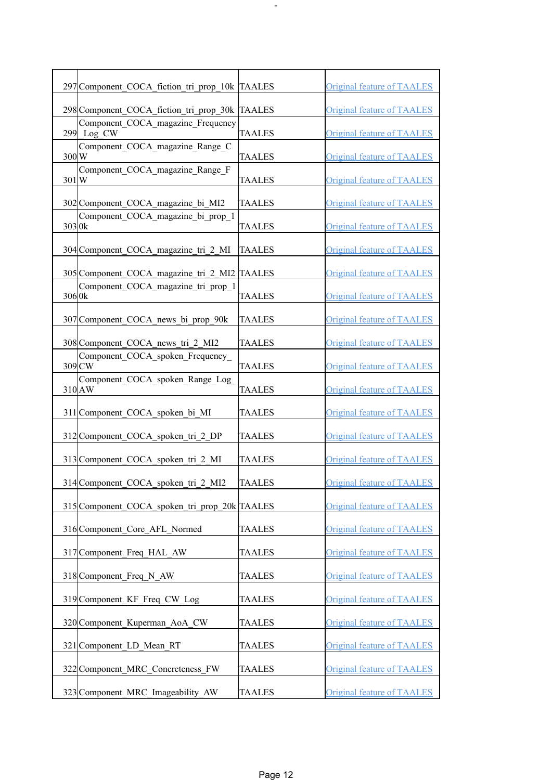| 297 Component_COCA_fiction_tri_prop_10k  TAALES          |               | <b>Original feature of TAALES</b> |
|----------------------------------------------------------|---------------|-----------------------------------|
| 298 Component COCA fiction tri prop 30k TAALES           |               | <b>Original feature of TAALES</b> |
| Component COCA magazine Frequency<br>299 Log_CW          | <b>TAALES</b> | <b>Original feature of TAALES</b> |
| Component COCA magazine Range C<br>300W                  | <b>TAALES</b> | <b>Original feature of TAALES</b> |
| Component COCA magazine Range F<br>301W                  | <b>TAALES</b> | <b>Original feature of TAALES</b> |
| 302 Component COCA magazine bi MI2                       | <b>TAALES</b> | <b>Original feature of TAALES</b> |
| Component COCA magazine bi prop 1<br>303 0k              | <b>TAALES</b> | <b>Original feature of TAALES</b> |
| 304 Component COCA magazine tri 2 MI                     | <b>TAALES</b> | <b>Original feature of TAALES</b> |
| 305 Component COCA magazine tri 2 MI2 TAALES             |               | <b>Original feature of TAALES</b> |
| Component COCA magazine tri prop 1<br>306 <sub>0</sub> k | <b>TAALES</b> | <b>Original feature of TAALES</b> |
| 307 Component COCA news bi prop 90k                      | <b>TAALES</b> | <b>Original feature of TAALES</b> |
| 308 Component COCA news tri 2 MI2                        | <b>TAALES</b> | <b>Original feature of TAALES</b> |
| Component COCA spoken Frequency<br>309 CW                | <b>TAALES</b> | <b>Original feature of TAALES</b> |
| Component COCA spoken Range Log<br>310 AW                | <b>TAALES</b> | <b>Original feature of TAALES</b> |
| 311 Component COCA_spoken_bi_MI                          | TAALES        | <b>Original feature of TAALES</b> |
| 312 Component COCA spoken tri 2 DP                       | <b>TAALES</b> | <b>Original feature of TAALES</b> |
| 313 Component COCA spoken tri 2 MI                       | TAALES        | <b>Original feature of TAALES</b> |
| 314 Component_COCA_spoken_tri_2_MI2                      | <b>TAALES</b> | <b>Original feature of TAALES</b> |
| 315 Component COCA spoken tri prop 20k TAALES            |               | <b>Original feature of TAALES</b> |
| 316 Component Core AFL Normed                            | <b>TAALES</b> | <b>Original feature of TAALES</b> |
| 317 Component Freq HAL AW                                | <b>TAALES</b> | <b>Original feature of TAALES</b> |
| 318 Component Freq N AW                                  | <b>TAALES</b> | <b>Original feature of TAALES</b> |
| 319 Component KF Freq CW Log                             | <b>TAALES</b> | <b>Original feature of TAALES</b> |
| 320 Component Kuperman AoA CW                            | <b>TAALES</b> | <b>Original feature of TAALES</b> |
| 321 Component LD Mean RT                                 | <b>TAALES</b> | <b>Original feature of TAALES</b> |
| 322 Component MRC Concreteness FW                        | <b>TAALES</b> | <b>Original feature of TAALES</b> |
| 323 Component MRC Imageability AW                        | <b>TAALES</b> | <b>Original feature of TAALES</b> |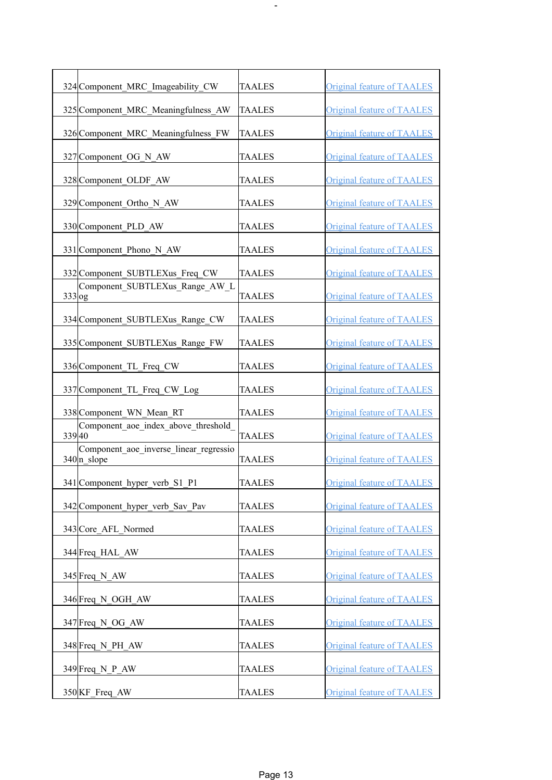| 324 Component MRC Imageability CW                               | <b>TAALES</b> | <b>Original feature of TAALES</b> |
|-----------------------------------------------------------------|---------------|-----------------------------------|
| 325 Component MRC Meaningfulness AW                             | <b>TAALES</b> | <b>Original feature of TAALES</b> |
| 326 Component MRC Meaningfulness FW                             | <b>TAALES</b> | <b>Original feature of TAALES</b> |
| 327 Component OG N AW                                           | <b>TAALES</b> | <b>Original feature of TAALES</b> |
| 328 Component OLDF AW                                           | <b>TAALES</b> | <b>Original feature of TAALES</b> |
| 329 Component Ortho N AW                                        | <b>TAALES</b> | <b>Original feature of TAALES</b> |
| 330 Component_PLD_AW                                            | <b>TAALES</b> | <b>Original feature of TAALES</b> |
| 331 Component Phono N AW                                        | <b>TAALES</b> | <b>Original feature of TAALES</b> |
| 332 Component_SUBTLEXus_Freq_CW                                 | <b>TAALES</b> | <b>Original feature of TAALES</b> |
| Component SUBTLEXus Range AW L<br>$333$ og                      | TAALES        | <b>Original feature of TAALES</b> |
| 334 Component SUBTLEXus Range CW                                | <b>TAALES</b> | <b>Original feature of TAALES</b> |
| 335 Component_SUBTLEXus_Range_FW                                | <b>TAALES</b> | <b>Original feature of TAALES</b> |
| 336 Component TL Freq CW                                        | <b>TAALES</b> | <b>Original feature of TAALES</b> |
| 337 Component TL Freq CW Log                                    | <b>TAALES</b> | <b>Original feature of TAALES</b> |
| 338 Component WN Mean RT                                        | <b>TAALES</b> | <b>Original feature of TAALES</b> |
| Component aoe index above threshold<br>33940                    | <b>TAALES</b> | <b>Original feature of TAALES</b> |
| Component aoe inverse linear regressio<br>$340 \text{ n}$ slope | <b>TAALES</b> | <b>Original feature of TAALES</b> |
| 341 Component_hyper_verb_S1_P1                                  | <b>TAALES</b> | <b>Original feature of TAALES</b> |
| 342 Component hyper verb Sav Pav                                | <b>TAALES</b> | <b>Original feature of TAALES</b> |
| 343 Core AFL Normed                                             | <b>TAALES</b> | Original feature of TAALES        |
| 344 Freq HAL AW                                                 | <b>TAALES</b> | <b>Original feature of TAALES</b> |
| 345 Freq N AW                                                   | <b>TAALES</b> | Original feature of TAALES        |
| 346 Freq N OGH AW                                               | <b>TAALES</b> | Original feature of TAALES        |
| 347 Freq N OG AW                                                | <b>TAALES</b> | <b>Original feature of TAALES</b> |
| 348 Freq N PH AW                                                | <b>TAALES</b> | <b>Original feature of TAALES</b> |
| $349$ Freq N P AW                                               | <b>TAALES</b> | <b>Original feature of TAALES</b> |
| 350 KF Freq AW                                                  | <b>TAALES</b> | <b>Original feature of TAALES</b> |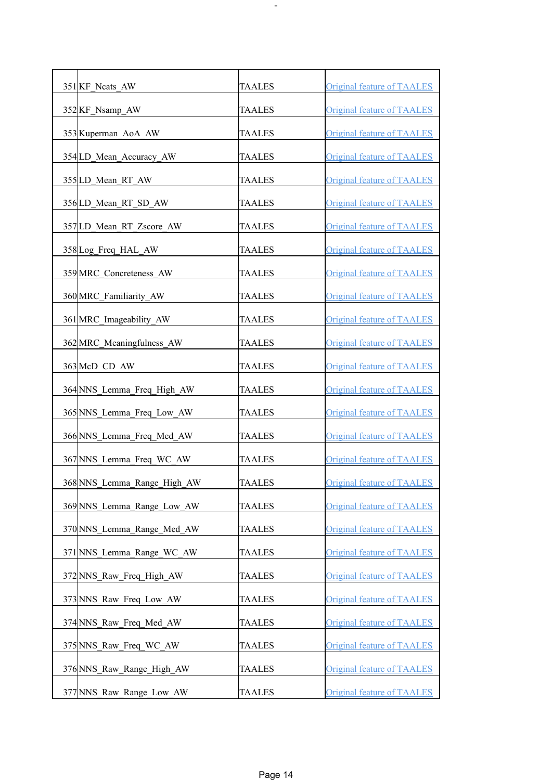| 351 KF_Ncats_AW             | <b>TAALES</b> | <b>Original feature of TAALES</b> |
|-----------------------------|---------------|-----------------------------------|
| 352KF_Nsamp_AW              | <b>TAALES</b> | <b>Original feature of TAALES</b> |
| 353 Kuperman AoA AW         | <b>TAALES</b> | Original feature of TAALES        |
| 354 LD_Mean_Accuracy_AW     | <b>TAALES</b> | <b>Original feature of TAALES</b> |
| 355 LD Mean RT AW           | <b>TAALES</b> | <b>Original feature of TAALES</b> |
| 356 LD Mean RT SD AW        | <b>TAALES</b> | <b>Original feature of TAALES</b> |
| 357 LD Mean RT Zscore AW    | <b>TAALES</b> | <b>Original feature of TAALES</b> |
| 358 Log Freq HAL AW         | <b>TAALES</b> | <b>Original feature of TAALES</b> |
| 359 MRC Concreteness AW     | <b>TAALES</b> | <b>Original feature of TAALES</b> |
| 360 MRC Familiarity AW      | <b>TAALES</b> | Original feature of TAALES        |
| 361 MRC Imageability AW     | <b>TAALES</b> | Original feature of TAALES        |
| 362 MRC_Meaningfulness_AW   | <b>TAALES</b> | <b>Original feature of TAALES</b> |
| 363 McD_CD_AW               | <b>TAALES</b> | <b>Original feature of TAALES</b> |
| 364 NNS_Lemma_Freq_High_AW  | <b>TAALES</b> | <b>Original feature of TAALES</b> |
| 365 NNS Lemma Freq Low AW   | <b>TAALES</b> | <b>Original feature of TAALES</b> |
| 366 NNS Lemma Freq Med AW   | <b>TAALES</b> | <b>Original feature of TAALES</b> |
| 367 NNS_Lemma_Freq_WC_AW    | <b>TAALES</b> | Original feature of TAALES        |
| 368 NNS_Lemma_Range_High_AW | <b>TAALES</b> | <b>Original feature of TAALES</b> |
| 369 NNS Lemma Range Low AW  | <b>TAALES</b> | <b>Original feature of TAALES</b> |
| 370 NNS Lemma Range Med AW  | TAALES        | <b>Original feature of TAALES</b> |
| 371 NNS Lemma Range WC AW   | TAALES        | <b>Original feature of TAALES</b> |
| 372 NNS Raw Freq High AW    | <b>TAALES</b> | <b>Original feature of TAALES</b> |
| 373 NNS Raw Freq Low AW     | <b>TAALES</b> | <b>Original feature of TAALES</b> |
| 374 NNS Raw Freq Med AW     | <b>TAALES</b> | <b>Original feature of TAALES</b> |
| 375 NNS_Raw_Freq_WC_AW      | <b>TAALES</b> | <b>Original feature of TAALES</b> |
| 376 NNS Raw Range High AW   | <b>TAALES</b> | <b>Original feature of TAALES</b> |
| 377 NNS Raw Range Low AW    | <b>TAALES</b> | <b>Original feature of TAALES</b> |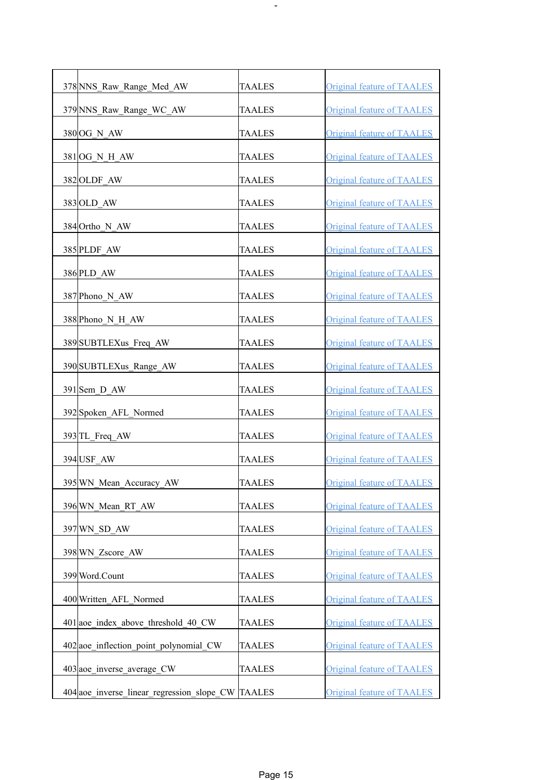| 378 NNS_Raw_Range_Med_AW                          | <b>TAALES</b> | <b>Original feature of TAALES</b> |
|---------------------------------------------------|---------------|-----------------------------------|
| 379 NNS_Raw_Range_WC_AW                           | <b>TAALES</b> | <b>Original feature of TAALES</b> |
| 380 OG N AW                                       | <b>TAALES</b> | Original feature of TAALES        |
| 381 OG N H AW                                     | <b>TAALES</b> | <b>Original feature of TAALES</b> |
| 382 OLDF AW                                       | TAALES        | <b>Original feature of TAALES</b> |
| 383 OLD AW                                        | <b>TAALES</b> | <b>Original feature of TAALES</b> |
| 384 Ortho_N_AW                                    | <b>TAALES</b> | <b>Original feature of TAALES</b> |
| 385 PLDF AW                                       | <b>TAALES</b> | <b>Original feature of TAALES</b> |
| 386 PLD AW                                        | <b>TAALES</b> | <b>Original feature of TAALES</b> |
| 387 Phono N AW                                    | TAALES        | <b>Original feature of TAALES</b> |
| 388 Phono N H AW                                  | <b>TAALES</b> | <b>Original feature of TAALES</b> |
| 389 SUBTLEXus_Freq_AW                             | <b>TAALES</b> | <b>Original feature of TAALES</b> |
| 390 SUBTLEXus Range AW                            | <b>TAALES</b> | <b>Original feature of TAALES</b> |
| 391 Sem D AW                                      | <b>TAALES</b> | <b>Original feature of TAALES</b> |
| 392 Spoken AFL Normed                             | <b>TAALES</b> | <b>Original feature of TAALES</b> |
| 393 TL Freq AW                                    | <b>TAALES</b> | <b>Original feature of TAALES</b> |
| 394 USF_AW                                        | <b>TAALES</b> | <b>Original feature of TAALES</b> |
| 395 WN_Mean_Accuracy_AW                           | <b>TAALES</b> | <b>Original feature of TAALES</b> |
| 396 WN Mean RT AW                                 | <b>TAALES</b> | <b>Original feature of TAALES</b> |
| 397 WN SD AW                                      | <b>TAALES</b> | Original feature of TAALES        |
| 398 WN Zscore AW                                  | <b>TAALES</b> | <b>Original feature of TAALES</b> |
| 399 Word.Count                                    | <b>TAALES</b> | <b>Original feature of TAALES</b> |
| 400 Written AFL Normed                            | <b>TAALES</b> | <b>Original feature of TAALES</b> |
| 401 aoe index above threshold 40 CW               | <b>TAALES</b> | <b>Original feature of TAALES</b> |
| 402 aoe inflection point polynomial CW            | TAALES        | <b>Original feature of TAALES</b> |
| 403 aoe inverse average CW                        | TAALES        | <b>Original feature of TAALES</b> |
| 404 aoe inverse linear regression slope CW TAALES |               | <b>Original feature of TAALES</b> |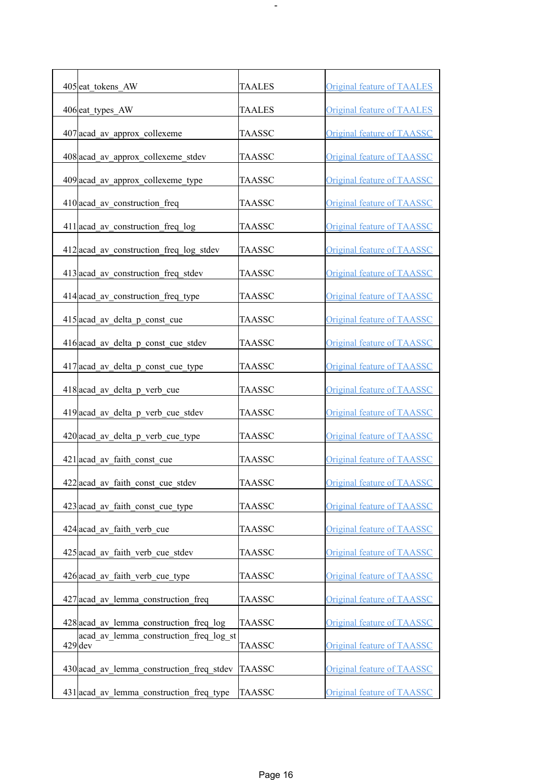| 405 eat tokens AW                                   | <b>TAALES</b> | <b>Original feature of TAALES</b> |
|-----------------------------------------------------|---------------|-----------------------------------|
| 406 eat types AW                                    | <b>TAALES</b> | <b>Original feature of TAALES</b> |
| 407 acad av approx collexeme                        | <b>TAASSC</b> | <b>Original feature of TAASSC</b> |
| 408 acad av approx collexeme stdev                  | TAASSC        | <b>Original feature of TAASSC</b> |
| 409 acad av approx collexeme type                   | TAASSC        | <b>Original feature of TAASSC</b> |
| 410 acad av construction freq                       | TAASSC        | <b>Original feature of TAASSC</b> |
| 411 acad_av_construction_freq_log                   | <b>TAASSC</b> | <b>Original feature of TAASSC</b> |
| 412 acad_av_construction_freq_log_stdev             | <b>TAASSC</b> | Original feature of TAASSC        |
| 413 acad av construction freq stdev                 | TAASSC        | <b>Original feature of TAASSC</b> |
| 414 acad av construction freq type                  | TAASSC        | <b>Original feature of TAASSC</b> |
| $415$ acad av delta p const cue                     | <b>TAASSC</b> | <b>Original feature of TAASSC</b> |
| 416 acad_av_delta_p_const_cue_stdev                 | TAASSC        | <b>Original feature of TAASSC</b> |
| 417 acad_av_delta_p_const_cue_type                  | TAASSC        | <b>Original feature of TAASSC</b> |
| 418 acad_av_delta_p_verb_cue                        | <b>TAASSC</b> | <b>Original feature of TAASSC</b> |
| 419 acad_av_delta_p_verb_cue_stdev                  | <b>TAASSC</b> | <b>Original feature of TAASSC</b> |
| $420$ acad av delta p verb cue type                 | <b>TAASSC</b> | Original feature of TAASSC        |
| 421 acad av faith const cue                         | <b>TAASSC</b> | Original feature of TAASSC        |
| 422 acad_av_faith_const_cue_stdev                   | <b>TAASSC</b> | <b>Original feature of TAASSC</b> |
| 423 acad_av_faith const cue type                    | <b>TAASSC</b> | <b>Original feature of TAASSC</b> |
| 424 acad av faith verb cue                          | <b>TAASSC</b> | Original feature of TAASSC        |
| $425$ acad av faith verb cue stdev                  | <b>TAASSC</b> | <b>Original feature of TAASSC</b> |
| 426 acad av faith verb cue type                     | TAASSC        | <b>Original feature of TAASSC</b> |
| 427 acad av lemma construction freq                 | <b>TAASSC</b> | <b>Original feature of TAASSC</b> |
| 428 acad av lemma construction freq log             | TAASSC        | Original feature of TAASSC        |
| acad av lemma construction freq log st<br>$429$ dev | TAASSC        | <b>Original feature of TAASSC</b> |
| 430 acad av lemma construction freq stdev           | TAASSC        | <b>Original feature of TAASSC</b> |
| 431 acad av lemma construction freq type            | TAASSC        | Original feature of TAASSC        |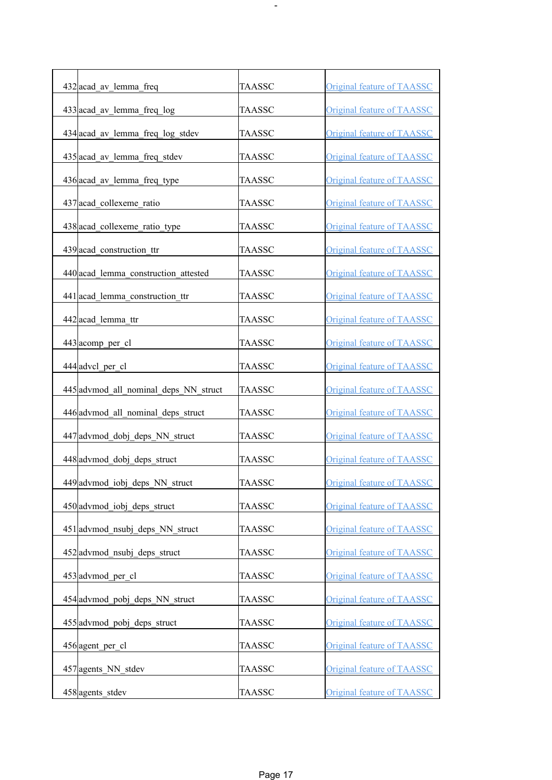| 432 acad_av_lemma_freq                | <b>TAASSC</b> | <b>Original feature of TAASSC</b> |
|---------------------------------------|---------------|-----------------------------------|
| 433 acad av lemma freq log            | TAASSC        | <b>Original feature of TAASSC</b> |
| 434 acad av lemma freq log stdev      | TAASSC        | <b>Original feature of TAASSC</b> |
| 435 acad av lemma freq stdev          | TAASSC        | <b>Original feature of TAASSC</b> |
| 436 acad av lemma freq type           | TAASSC        | Original feature of TAASSC        |
| 437 acad collexeme ratio              | TAASSC        | Original feature of TAASSC        |
| 438 acad_collexeme_ratio_type         | <b>TAASSC</b> | <b>Original feature of TAASSC</b> |
| 439 acad construction ttr             | TAASSC        | <b>Original feature of TAASSC</b> |
| 440 acad lemma construction attested  | TAASSC        | <b>Original feature of TAASSC</b> |
| 441 acad lemma construction ttr       | <b>TAASSC</b> | Original feature of TAASSC        |
| 442 acad lemma ttr                    | <b>TAASSC</b> | <b>Original feature of TAASSC</b> |
| $443$ acomp per cl                    | TAASSC        | <b>Original feature of TAASSC</b> |
| 444 advel per cl                      | TAASSC        | <b>Original feature of TAASSC</b> |
| 445 advmod all nominal deps NN struct | TAASSC        | <b>Original feature of TAASSC</b> |
| 446 advmod all nominal deps struct    | TAASSC        | <b>Original feature of TAASSC</b> |
| 447 advmod dobj deps NN struct        | TAASSC        | Original feature of TAASSC        |
| 448 advmod dobj deps struct           | <b>TAASSC</b> | Original feature of TAASSC        |
| 449 advmod iobj deps NN struct        | <b>TAASSC</b> | Original feature of TAASSC        |
| 450 advmod iobj deps struct           | <b>TAASSC</b> | Original feature of TAASSC        |
| 451 advmod nsubj deps NN struct       | <b>TAASSC</b> | Original feature of TAASSC        |
|                                       |               | Original feature of TAASSC        |
| 452 advmod nsubj deps struct          | <b>TAASSC</b> |                                   |
| 453 advmod per cl                     | <b>TAASSC</b> | <b>Original feature of TAASSC</b> |
| 454 advmod pobj deps NN struct        | TAASSC        | Original feature of TAASSC        |
| 455 advmod pobj deps struct           | <b>TAASSC</b> | Original feature of TAASSC        |
| 456 agent per cl                      | TAASSC        | Original feature of TAASSC        |
| 457 agents NN stdev                   | TAASSC        | <b>Original feature of TAASSC</b> |
| 458 agents_stdev                      | TAASSC        | Original feature of TAASSC        |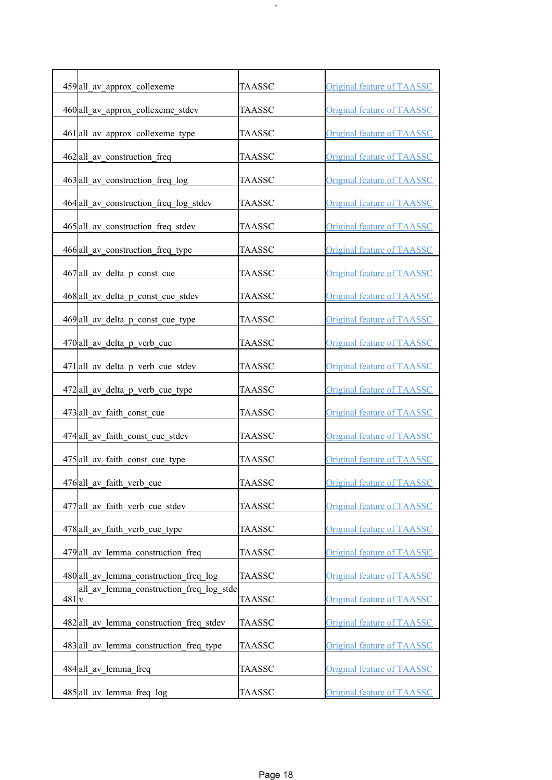| 459 all av approx collexeme                     | <b>TAASSC</b> | <b>Original feature of TAASSC</b> |
|-------------------------------------------------|---------------|-----------------------------------|
| 460 all av approx collexeme stdev               | <b>TAASSC</b> | <b>Original feature of TAASSC</b> |
| 461 all av approx collexeme type                | TAASSC        | Original feature of TAASSC        |
| 462 all av construction freq                    | <b>TAASSC</b> | <b>Original feature of TAASSC</b> |
| 463 all av construction freq log                | <b>TAASSC</b> | <b>Original feature of TAASSC</b> |
| 464 all av construction freq log stdev          | <b>TAASSC</b> | Original feature of TAASSC        |
| 465 all av construction freq stdev              | <b>TAASSC</b> | <b>Original feature of TAASSC</b> |
| 466 all av construction freq type               | <b>TAASSC</b> | Original feature of TAASSC        |
| 467 all av delta p const cue                    | <b>TAASSC</b> | <b>Original feature of TAASSC</b> |
| 468 all av delta p const cue stdev              | <b>TAASSC</b> | <b>Original feature of TAASSC</b> |
| $469$  all av delta p const cue type            | TAASSC        | <b>Original feature of TAASSC</b> |
| 470 all av delta p verb cue                     | <b>TAASSC</b> | <b>Original feature of TAASSC</b> |
| $471$  all av delta p verb cue stdev            | <b>TAASSC</b> | <b>Original feature of TAASSC</b> |
| 472 all av delta p verb cue type                | <b>TAASSC</b> | <b>Original feature of TAASSC</b> |
| 473 all av faith const cue                      | <b>TAASSC</b> | <b>Original feature of TAASSC</b> |
| 474 all av faith const cue stdev                | <b>TAASSC</b> | Original feature of TAASSC        |
| 475 all av faith const cue type                 | <b>TAASSC</b> | Original feature of TAASSC        |
| 476 all av faith verb cue                       | <b>TAASSC</b> | <b>Original feature of TAASSC</b> |
| 477 all av faith verb cue stdev                 | <b>TAASSC</b> | <b>Original feature of TAASSC</b> |
| 478 all av faith verb cue type                  | <b>TAASSC</b> | Original feature of TAASSC        |
| 479 all av lemma construction freq              | <b>TAASSC</b> | <b>Original feature of TAASSC</b> |
| 480 all av lemma construction freq log          | <b>TAASSC</b> | <b>Original feature of TAASSC</b> |
| all av lemma construction freq log stde<br>481v | <b>TAASSC</b> | <b>Original feature of TAASSC</b> |
| 482 all av lemma construction freq stdev        | <b>TAASSC</b> | <b>Original feature of TAASSC</b> |
| 483 all av lemma construction freq type         | <b>TAASSC</b> | <b>Original feature of TAASSC</b> |
| 484 all av lemma freq                           | <b>TAASSC</b> | Original feature of TAASSC        |
| 485 all av lemma freq log                       | <b>TAASSC</b> | Original feature of TAASSC        |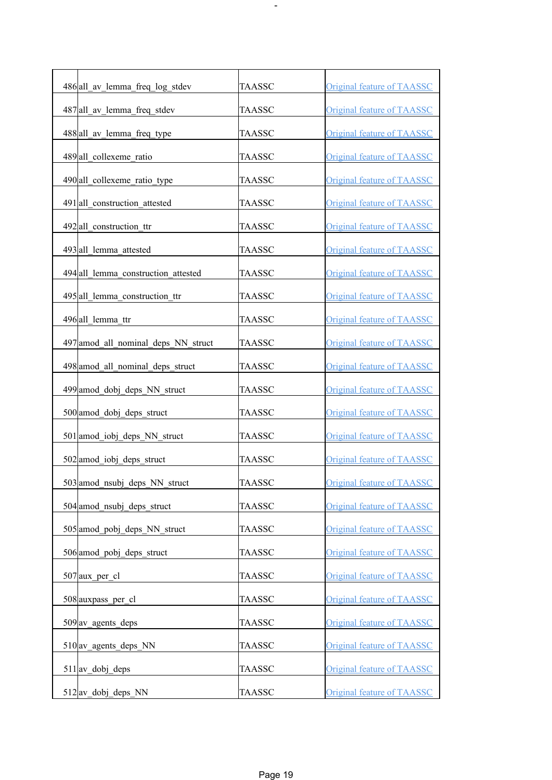| 486 all av lemma freq log stdev     | TAASSC        | <b>Original feature of TAASSC</b> |
|-------------------------------------|---------------|-----------------------------------|
| 487 all av lemma freq stdev         | <b>TAASSC</b> | <b>Original feature of TAASSC</b> |
| 488 all av lemma freq type          | TAASSC        | Original feature of TAASSC        |
| 489 all collexeme ratio             | TAASSC        | <b>Original feature of TAASSC</b> |
| 490 all collexeme ratio type        | <b>TAASSC</b> | <b>Original feature of TAASSC</b> |
| 491 all construction attested       | <b>TAASSC</b> | Original feature of TAASSC        |
| 492 all construction ttr            | <b>TAASSC</b> | <b>Original feature of TAASSC</b> |
| 493 all lemma attested              | <b>TAASSC</b> | <b>Original feature of TAASSC</b> |
| 494 all lemma construction attested | TAASSC        | <b>Original feature of TAASSC</b> |
| 495 all lemma construction ttr      | TAASSC        | <b>Original feature of TAASSC</b> |
| 496 all lemma ttr                   | TAASSC        | <b>Original feature of TAASSC</b> |
| 497 amod all nominal deps NN struct | TAASSC        | <b>Original feature of TAASSC</b> |
| 498 amod all nominal deps struct    | <b>TAASSC</b> | <b>Original feature of TAASSC</b> |
| 499 amod dobj deps NN struct        | <b>TAASSC</b> | <b>Original feature of TAASSC</b> |
| 500 amod dobj deps struct           | <b>TAASSC</b> | <b>Original feature of TAASSC</b> |
| 501 amod iobj deps NN struct        | <b>TAASSC</b> | <b>Original feature of TAASSC</b> |
| 502 amod iobj deps struct           | TAASSC        | <b>Original feature of TAASSC</b> |
| 503 amod nsubj deps NN struct       | <b>TAASSC</b> | Original feature of TAASSC        |
| 504 amod nsubj deps struct          | <b>TAASSC</b> | <b>Original feature of TAASSC</b> |
| 505 amod pobj deps NN struct        | <b>TAASSC</b> | Original feature of TAASSC        |
| 506 amod pobj deps struct           | <b>TAASSC</b> | <b>Original feature of TAASSC</b> |
| $507$ aux per cl                    | <b>TAASSC</b> | <b>Original feature of TAASSC</b> |
| 508 auxpass per cl                  | <b>TAASSC</b> | <b>Original feature of TAASSC</b> |
| $509$ av agents deps                | <b>TAASSC</b> | Original feature of TAASSC        |
| $510$ av agents deps NN             | <b>TAASSC</b> | Original feature of TAASSC        |
| $511$ av dobj deps                  | <b>TAASSC</b> | Original feature of TAASSC        |
| 512 av_dobj_deps_NN                 | <b>TAASSC</b> | <b>Original feature of TAASSC</b> |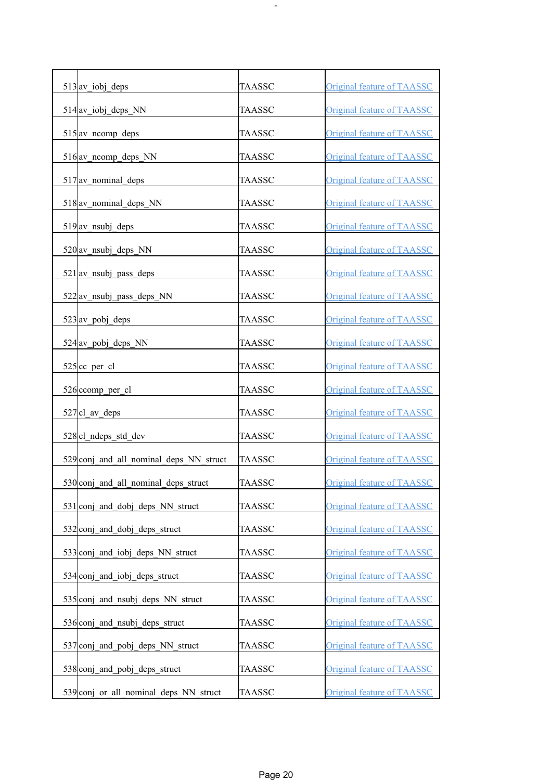| 513 av_iobj_deps                        | <b>TAASSC</b> | Original feature of TAASSC        |
|-----------------------------------------|---------------|-----------------------------------|
| $514$ <sub>av</sub> iobj deps NN        | <b>TAASSC</b> | <b>Original feature of TAASSC</b> |
| 515 av neomp deps                       | <b>TAASSC</b> | <b>Original feature of TAASSC</b> |
| $516$ av nomp deps NN                   | <b>TAASSC</b> | <b>Original feature of TAASSC</b> |
| 517 av nominal deps                     | <b>TAASSC</b> | <b>Original feature of TAASSC</b> |
| 518 av_nominal_deps_NN                  | TAASSC        | <b>Original feature of TAASSC</b> |
| $519$ av_nsubj_deps                     | <b>TAASSC</b> | <b>Original feature of TAASSC</b> |
| $520$ av nsubj deps NN                  | TAASSC        | Original feature of TAASSC        |
| $521\text{av}$ nsubj pass deps          | TAASSC        | <b>Original feature of TAASSC</b> |
| $522\text{av}$ nsubj pass deps NN       | TAASSC        | <b>Original feature of TAASSC</b> |
| 523 av pobj deps                        | TAASSC        | Original feature of TAASSC        |
| 524 av_pobj_deps_NN                     | <b>TAASSC</b> | Original feature of TAASSC        |
| $525$ cc per cl                         | <b>TAASSC</b> | Original feature of TAASSC        |
| 526 ccomp_per_cl                        | <b>TAASSC</b> | <b>Original feature of TAASSC</b> |
| $527$  cl av deps                       | <b>TAASSC</b> | <b>Original feature of TAASSC</b> |
| 528 cl ndeps std dev                    | <b>TAASSC</b> | Original feature of TAASSC        |
| 529 conj_and_all_nominal_deps_NN_struct | <b>TAASSC</b> | Original feature of TAASSC        |
| 530 conj_and_all_nominal_deps_struct    | <b>TAASSC</b> | <b>Original feature of TAASSC</b> |
| 531 conj and dobj deps NN struct        | <b>TAASSC</b> | Original feature of TAASSC        |
| 532 conj and dobj deps struct           | <b>TAASSC</b> | Original feature of TAASSC        |
| 533 conj and jobj deps NN struct        | <b>TAASSC</b> | Original feature of TAASSC        |
|                                         |               |                                   |
| 534 conj and iobj deps struct           | TAASSC        | <b>Original feature of TAASSC</b> |
| 535 conj and nsubj deps NN struct       | <b>TAASSC</b> | <b>Original feature of TAASSC</b> |
| 536 conj and nsubj deps struct          | <b>TAASSC</b> | Original feature of TAASSC        |
| 537 conj and pobj deps NN struct        | TAASSC        | <b>Original feature of TAASSC</b> |
| 538 conj and pobj deps struct           | TAASSC        | <b>Original feature of TAASSC</b> |
| 539 conj or all nominal deps NN struct  | TAASSC        | Original feature of TAASSC        |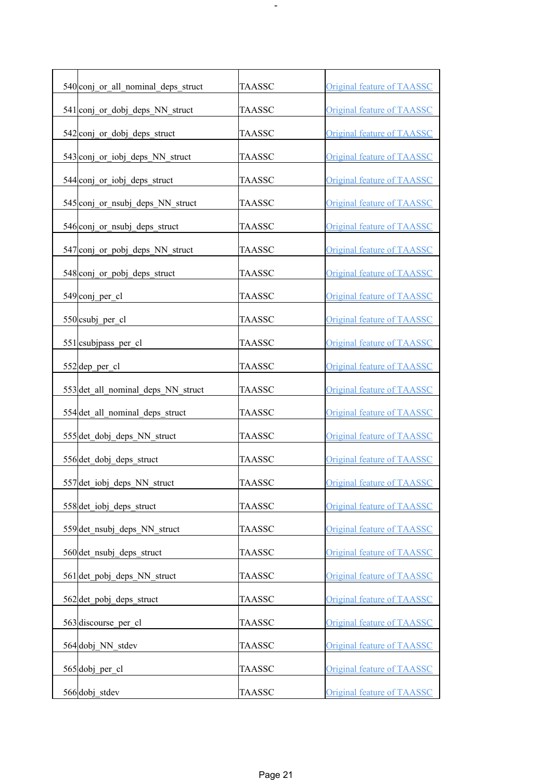| 540 conj or all nominal deps struct | <b>TAASSC</b> | <b>Original feature of TAASSC</b> |
|-------------------------------------|---------------|-----------------------------------|
| 541 conj_or_dobj_deps_NN_struct     | TAASSC        | <b>Original feature of TAASSC</b> |
| 542 conj or dobj deps struct        | TAASSC        | <b>Original feature of TAASSC</b> |
| 543 conj or iobj deps NN struct     | <b>TAASSC</b> | <b>Original feature of TAASSC</b> |
| 544 conj or iobj deps struct        | <b>TAASSC</b> | <b>Original feature of TAASSC</b> |
| 545 conj or nsubj deps NN struct    | <b>TAASSC</b> | <b>Original feature of TAASSC</b> |
| 546 conj_or_nsubj_deps_struct       | TAASSC        | <b>Original feature of TAASSC</b> |
| 547 conj_or_pobj_deps_NN_struct     | <b>TAASSC</b> | <b>Original feature of TAASSC</b> |
| 548 conj or pobj deps struct        | <b>TAASSC</b> | <b>Original feature of TAASSC</b> |
| 549 conj per cl                     | <b>TAASSC</b> | <b>Original feature of TAASSC</b> |
| 550 csubj per cl                    | TAASSC        | Original feature of TAASSC        |
| $551$  csubjpass per cl             | <b>TAASSC</b> | <b>Original feature of TAASSC</b> |
| $552$ dep per cl                    | <b>TAASSC</b> | Original feature of TAASSC        |
| 553 det all nominal deps NN struct  | TAASSC        | <b>Original feature of TAASSC</b> |
| 554 det all nominal deps struct     | <b>TAASSC</b> | <b>Original feature of TAASSC</b> |
| 555 det dobj deps NN struct         | <b>TAASSC</b> | <b>Original feature of TAASSC</b> |
| 556 det dobj deps struct            | <b>TAASSC</b> | <b>Original feature of TAASSC</b> |
| 557 det_iobj_deps_NN_struct         | <b>TAASSC</b> | <b>Original feature of TAASSC</b> |
| 558 det iobj deps struct            | TAASSC        | Original feature of TAASSC        |
| 559 det nsubj deps NN struct        | TAASSC        | Original feature of TAASSC        |
| 560 det nsubj deps struct           | TAASSC        | Original feature of TAASSC        |
| 561 det pobj deps NN struct         | TAASSC        | <b>Original feature of TAASSC</b> |
| 562 det pobj deps struct            | TAASSC        | Original feature of TAASSC        |
| 563 discourse_per_cl                | TAASSC        | Original feature of TAASSC        |
| 564 dobj NN stdev                   | TAASSC        | <b>Original feature of TAASSC</b> |
| 565 dobj per cl                     | <b>TAASSC</b> | <b>Original feature of TAASSC</b> |
| 566 dobj stdev                      | <b>TAASSC</b> | <b>Original feature of TAASSC</b> |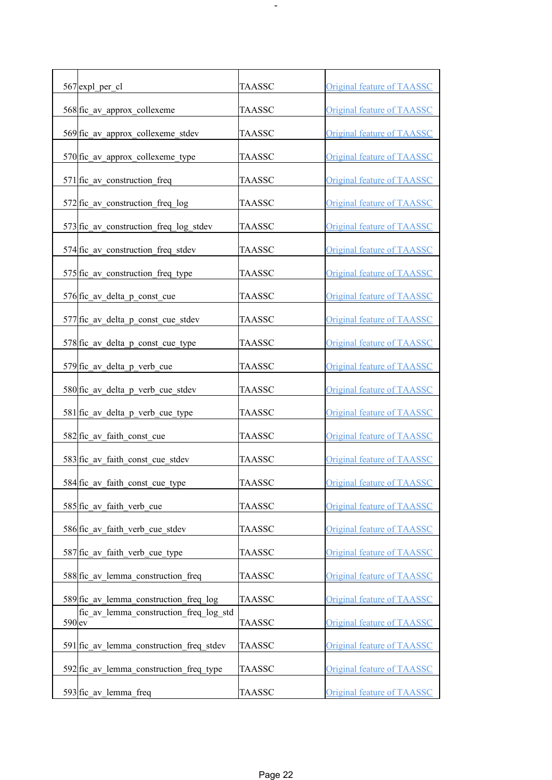| 567 expl_per_cl                                               | <b>TAASSC</b> | <b>Original feature of TAASSC</b> |
|---------------------------------------------------------------|---------------|-----------------------------------|
| 568 fic av approx collexeme                                   | <b>TAASSC</b> | Original feature of TAASSC        |
| 569 fic av approx collexeme stdev                             | TAASSC        | <b>Original feature of TAASSC</b> |
| 570 fic_av_approx_collexeme_type                              | <b>TAASSC</b> | <b>Original feature of TAASSC</b> |
| 571 fic av construction freq                                  | <b>TAASSC</b> | <b>Original feature of TAASSC</b> |
| $572$ fic av construction freq log                            | <b>TAASSC</b> | <b>Original feature of TAASSC</b> |
| 573 fic_av_construction_freq_log_stdev                        | <b>TAASSC</b> | <b>Original feature of TAASSC</b> |
| 574 fic av construction freq stdev                            | TAASSC        | <b>Original feature of TAASSC</b> |
| 575 fic_av_construction_freq_type                             | TAASSC        | <b>Original feature of TAASSC</b> |
| 576 fic av delta p const cue                                  | <b>TAASSC</b> | <b>Original feature of TAASSC</b> |
| $577$ fic av delta p const cue stdev                          | TAASSC        | <b>Original feature of TAASSC</b> |
| 578 fic_av_delta_p_const_cue_type                             | TAASSC        | <b>Original feature of TAASSC</b> |
| 579 fic av delta p verb cue                                   | <b>TAASSC</b> | Original feature of TAASSC        |
| 580 fic_av_delta_p_verb_cue_stdev                             | <b>TAASSC</b> | <b>Original feature of TAASSC</b> |
| 581 fic_av_delta_p_verb_cue_type                              | <b>TAASSC</b> | <b>Original feature of TAASSC</b> |
| 582 fic av faith const cue                                    | <b>TAASSC</b> | <b>Original feature of TAASSC</b> |
| $583$ fic av faith const cue stdev                            | <b>TAASSC</b> | Original feature of TAASSC        |
| 584 fic_av_faith_const_cue_type                               | <b>TAASSC</b> | <b>Original feature of TAASSC</b> |
| 585 fic av faith verb cue                                     | <b>TAASSC</b> | <b>Original feature of TAASSC</b> |
| 586 fic av faith verb cue stdev                               | <b>TAASSC</b> | Original feature of TAASSC        |
| 587 fic av faith verb cue type                                | <b>TAASSC</b> | <b>Original feature of TAASSC</b> |
| 588 fic av lemma construction freq                            | TAASSC        | <b>Original feature of TAASSC</b> |
| 589 fic av lemma construction freq log                        | <b>TAASSC</b> | <b>Original feature of TAASSC</b> |
| fic av lemma construction freq log std<br>$590$ <sub>ev</sub> | TAASSC        | Original feature of TAASSC        |
| 591 fic av lemma construction freq stdev                      | TAASSC        | <b>Original feature of TAASSC</b> |
| 592 fic av lemma construction freq type                       | TAASSC        | <b>Original feature of TAASSC</b> |
| $593$ fic av lemma freq                                       | <b>TAASSC</b> | <b>Original feature of TAASSC</b> |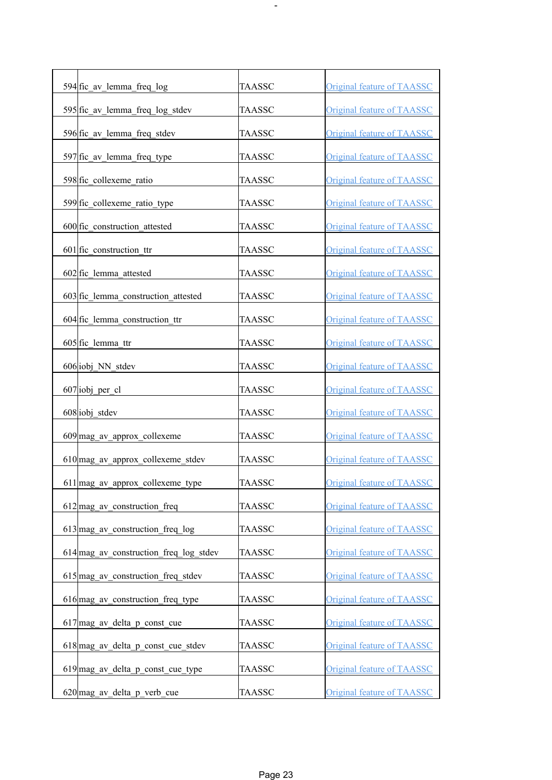| 594 fic av lemma freq log                | TAASSC        | <b>Original feature of TAASSC</b> |
|------------------------------------------|---------------|-----------------------------------|
| 595 fic av lemma freq log stdev          | TAASSC        | <b>Original feature of TAASSC</b> |
| 596 fic av lemma freq stdev              | TAASSC        | <b>Original feature of TAASSC</b> |
| 597 fic av lemma freq type               | TAASSC        | <b>Original feature of TAASSC</b> |
| 598 fic collexeme ratio                  | TAASSC        | <b>Original feature of TAASSC</b> |
| 599 fic collexeme ratio type             | TAASSC        | <b>Original feature of TAASSC</b> |
| 600 fic construction attested            | TAASSC        | <b>Original feature of TAASSC</b> |
| $601$ fic construction ttr               | TAASSC        | <b>Original feature of TAASSC</b> |
| $602$ fic lemma attested                 | TAASSC        | <b>Original feature of TAASSC</b> |
| 603 fic lemma construction attested      | TAASSC        | <b>Original feature of TAASSC</b> |
| 604 fic lemma construction ttr           | TAASSC        | <b>Original feature of TAASSC</b> |
| 605 fic lemma ttr                        | TAASSC        | <b>Original feature of TAASSC</b> |
| 606 iobj NN stdev                        | TAASSC        | <b>Original feature of TAASSC</b> |
| $607$ iobj_per_cl                        | TAASSC        | <b>Original feature of TAASSC</b> |
| 608 iobj stdev                           | TAASSC        | <b>Original feature of TAASSC</b> |
| 609 mag av approx collexeme              | <b>TAASSC</b> | <b>Original feature of TAASSC</b> |
| 610 mag av approx collexeme stdev        | TAASSC        | <b>Original feature of TAASSC</b> |
| 611 mag_av_approx_collexeme_type         | <b>TAASSC</b> | <b>Original feature of TAASSC</b> |
| $612$ mag av construction freq           | <b>TAASSC</b> | Original feature of TAASSC        |
| $613$ mag av construction freq log       | TAASSC        | <b>Original feature of TAASSC</b> |
| $614$ mag av construction freq log stdev | TAASSC        | <b>Original feature of TAASSC</b> |
| 615 mag av construction freq stdev       | TAASSC        | Original feature of TAASSC        |
| 616 mag av construction freq type        | <b>TAASSC</b> | Original feature of TAASSC        |
| $617$ mag av delta p const cue           | <b>TAASSC</b> | Original feature of TAASSC        |
| 618 mag_av_delta_p_const_cue_stdev       | TAASSC        | <b>Original feature of TAASSC</b> |
| $619$ mag av delta p const cue type      | TAASSC        | <b>Original feature of TAASSC</b> |
| 620 mag_av_delta_p_verb_cue              | <b>TAASSC</b> | <b>Original feature of TAASSC</b> |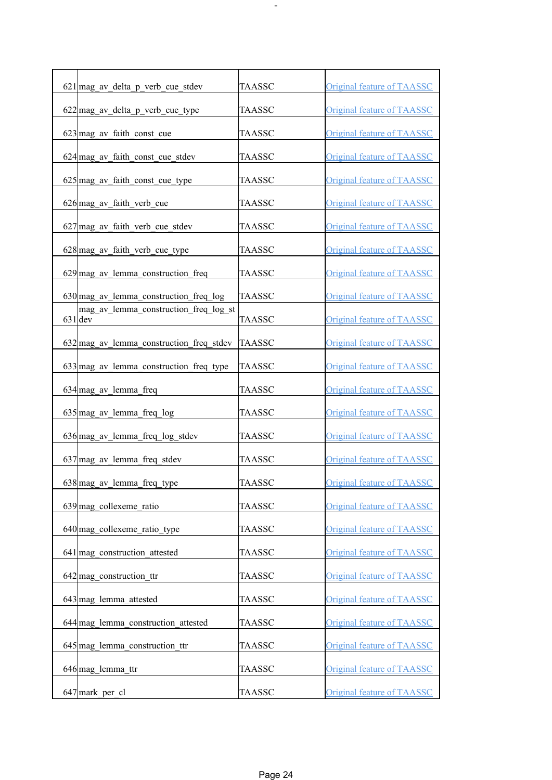| $621$ mag av delta p verb cue stdev                | <b>TAASSC</b> | Original feature of TAASSC        |
|----------------------------------------------------|---------------|-----------------------------------|
| 622 mag_av_delta_p_verb_cue_type                   | <b>TAASSC</b> | <b>Original feature of TAASSC</b> |
| $623$ mag av faith const cue                       | TAASSC        | Original feature of TAASSC        |
| $624$ mag av faith const cue stdev                 | <b>TAASSC</b> | <b>Original feature of TAASSC</b> |
| $625$ mag av faith const cue type                  | TAASSC        | <b>Original feature of TAASSC</b> |
| $626$ mag av faith verb cue                        | <b>TAASSC</b> | Original feature of TAASSC        |
| 627 mag_av_faith_verb_cue_stdev                    | <b>TAASSC</b> | <b>Original feature of TAASSC</b> |
| 628 mag_av_faith_verb_cue_type                     | <b>TAASSC</b> | <b>Original feature of TAASSC</b> |
| $629$ mag av lemma construction freq               | <b>TAASSC</b> | <b>Original feature of TAASSC</b> |
| $630$ mag av lemma construction freq log           | TAASSC        | <b>Original feature of TAASSC</b> |
| mag av lemma construction freq log st<br>$631$ dev | TAASSC        | Original feature of TAASSC        |
| $632$ mag av lemma construction freq stdev         | <b>TAASSC</b> | <b>Original feature of TAASSC</b> |
| $633$ mag av lemma construction freq type          | <b>TAASSC</b> | Original feature of TAASSC        |
| 634 mag_av_lemma_freq                              | <b>TAASSC</b> | <b>Original feature of TAASSC</b> |
| $635$ mag av lemma freq log                        | <b>TAASSC</b> | <b>Original feature of TAASSC</b> |
| 636 mag av lemma freq log stdev                    | <b>TAASSC</b> | Original feature of TAASSC        |
| 637 mag_av_lemma_freq_stdev                        | TAASSC        | Original feature of TAASSC        |
| $638$ mag av lemma freq type                       | <b>TAASSC</b> | Original feature of TAASSC        |
|                                                    | <b>TAASSC</b> |                                   |
| $639$ mag collexeme ratio                          |               | <b>Original feature of TAASSC</b> |
| 640 mag collexeme ratio type                       | <b>TAASSC</b> | Original feature of TAASSC        |
| 641 mag construction attested                      | <b>TAASSC</b> | Original feature of TAASSC        |
| $642$ mag construction ttr                         | <b>TAASSC</b> | <b>Original feature of TAASSC</b> |
| $643$ mag lemma attested                           | <b>TAASSC</b> | <b>Original feature of TAASSC</b> |
| 644 mag lemma construction attested                | <b>TAASSC</b> | <b>Original feature of TAASSC</b> |
| $645$ mag lemma construction ttr                   | <b>TAASSC</b> | Original feature of TAASSC        |
| 646 mag lemma ttr                                  | <b>TAASSC</b> | Original feature of TAASSC        |
| 647 mark_per_cl                                    | <b>TAASSC</b> | <b>Original feature of TAASSC</b> |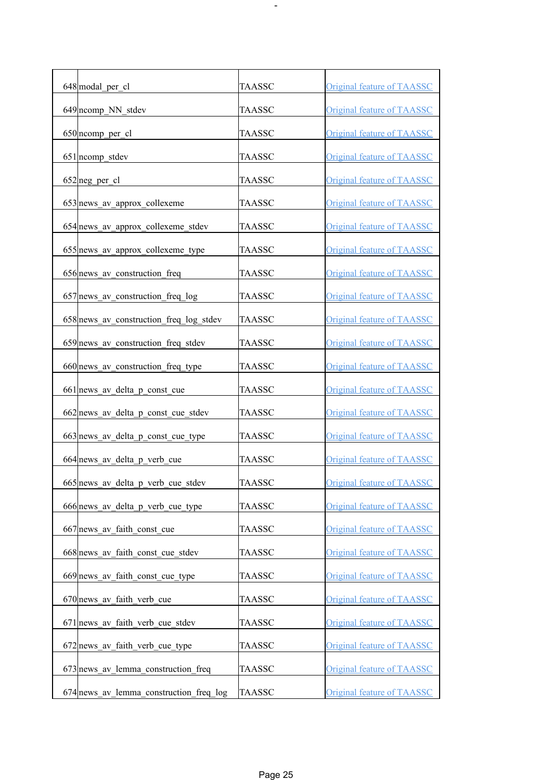| 648 modal per cl                          | <b>TAASSC</b> | <b>Original feature of TAASSC</b> |
|-------------------------------------------|---------------|-----------------------------------|
| 649 ncomp NN stdev                        | <b>TAASSC</b> | <b>Original feature of TAASSC</b> |
| 650 ncomp per cl                          | <b>TAASSC</b> | <b>Original feature of TAASSC</b> |
| 651 ncomp stdev                           | <b>TAASSC</b> | <b>Original feature of TAASSC</b> |
| $652$ neg per cl                          | <b>TAASSC</b> | <b>Original feature of TAASSC</b> |
| 653 news av approx collexeme              | <b>TAASSC</b> | <b>Original feature of TAASSC</b> |
| 654 news_av_approx_collexeme_stdev        | TAASSC        | <b>Original feature of TAASSC</b> |
| 655 news_av_approx_collexeme_type         | <b>TAASSC</b> | <b>Original feature of TAASSC</b> |
| 656 news_av_construction_freq             | TAASSC        | <b>Original feature of TAASSC</b> |
| 657 news av construction freq log         | TAASSC        | <b>Original feature of TAASSC</b> |
| 658 news av construction freq log stdev   | TAASSC        | <b>Original feature of TAASSC</b> |
| 659 news av construction freq stdev       | TAASSC        | <b>Original feature of TAASSC</b> |
| 660 news_av_construction_freq_type        | TAASSC        | <b>Original feature of TAASSC</b> |
| 661 news_av_delta_p_const_cue             | <b>TAASSC</b> | <b>Original feature of TAASSC</b> |
| 662 news av delta p const cue stdev       | <b>TAASSC</b> | <b>Original feature of TAASSC</b> |
| 663 news av delta p const cue type        | <b>TAASSC</b> | Original feature of TAASSC        |
| 664 news_av_delta_p_verb_cue              | <b>TAASSC</b> | <b>Original feature of TAASSC</b> |
| 665 news av delta p verb cue stdev        | <b>TAASSC</b> | <b>Original feature of TAASSC</b> |
| 666 news av delta p verb cue type         | <b>TAASSC</b> | <b>Original feature of TAASSC</b> |
| 667 news av faith const cue               | TAASSC        | Original feature of TAASSC        |
| 668 news av faith const cue stdev         | TAASSC        | <b>Original feature of TAASSC</b> |
| 669 news av faith const cue type          | <b>TAASSC</b> | <b>Original feature of TAASSC</b> |
| 670 news av faith verb cue                | TAASSC        | Original feature of TAASSC        |
| $671$ news av faith verb cue stdev        | <b>TAASSC</b> | Original feature of TAASSC        |
| $672$ news av faith verb cue type         | TAASSC        | <b>Original feature of TAASSC</b> |
| 673 news av lemma construction freq       | TAASSC        | <b>Original feature of TAASSC</b> |
| $674$ news av lemma construction freq log | <b>TAASSC</b> | Original feature of TAASSC        |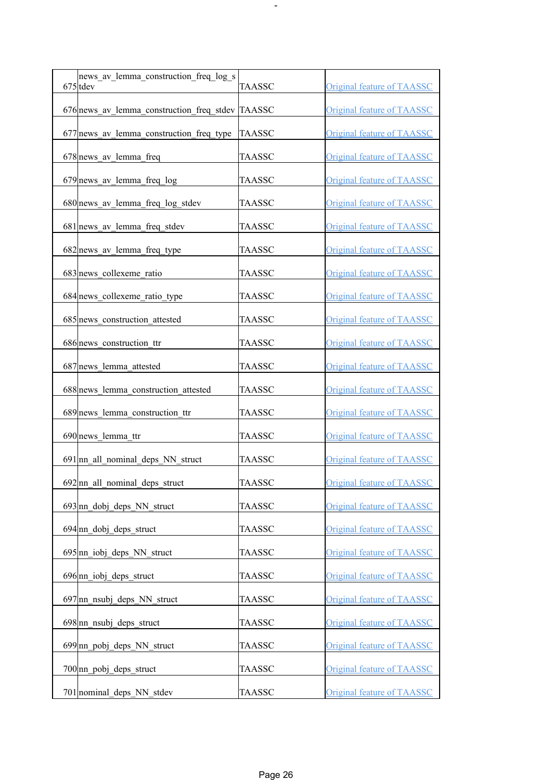| news av lemma construction freq log s<br>$675$ tdev | <b>TAASSC</b> | <b>Original feature of TAASSC</b> |
|-----------------------------------------------------|---------------|-----------------------------------|
| 676 news av lemma construction freq stdev TAASSC    |               | <b>Original feature of TAASSC</b> |
| 677 news av lemma construction freq type            | <b>TAASSC</b> | Original feature of TAASSC        |
| 678 news av lemma freq                              | <b>TAASSC</b> | <b>Original feature of TAASSC</b> |
| 679 news av lemma freq log                          | <b>TAASSC</b> | <b>Original feature of TAASSC</b> |
| 680 news_av_lemma_freq_log_stdev                    | <b>TAASSC</b> | <b>Original feature of TAASSC</b> |
| 681 news av lemma freq stdev                        | <b>TAASSC</b> | <b>Original feature of TAASSC</b> |
| 682 news av lemma freq type                         | <b>TAASSC</b> | <b>Original feature of TAASSC</b> |
| 683 news collexeme ratio                            | <b>TAASSC</b> | <b>Original feature of TAASSC</b> |
| 684 news collexeme ratio type                       | TAASSC        | <b>Original feature of TAASSC</b> |
| 685 news construction attested                      | TAASSC        | <b>Original feature of TAASSC</b> |
| 686 news construction ttr                           | <b>TAASSC</b> | <b>Original feature of TAASSC</b> |
| 687 news lemma attested                             | <b>TAASSC</b> | Original feature of TAASSC        |
| 688 news lemma construction attested                | <b>TAASSC</b> | <b>Original feature of TAASSC</b> |
| 689 news lemma construction ttr                     | <b>TAASSC</b> | <b>Original feature of TAASSC</b> |
| 690 news lemma ttr                                  | <b>TAASSC</b> | <b>Original feature of TAASSC</b> |
| 691 nn all nominal deps NN struct                   | <b>TAASSC</b> | <b>Original feature of TAASSC</b> |
| $692$  nn all nominal deps struct                   | <b>TAASSC</b> | <b>Original feature of TAASSC</b> |
| $693 \text{nn}$ dobj deps NN struct                 | <b>TAASSC</b> | Original feature of TAASSC        |
| $694 \text{nn}$ dobj deps struct                    | <b>TAASSC</b> | Original feature of TAASSC        |
| $695 \text{nn}$ iobj deps NN struct                 | <b>TAASSC</b> | Original feature of TAASSC        |
| $696 \text{nn}$ iobj deps struct                    | <b>TAASSC</b> | <b>Original feature of TAASSC</b> |
| $697$  nn nsubj deps NN struct                      | <b>TAASSC</b> | <b>Original feature of TAASSC</b> |
| $698 \text{nn}$ nsubj deps struct                   | <b>TAASSC</b> | Original feature of TAASSC        |
| 699 nn pobj deps NN struct                          | <b>TAASSC</b> | Original feature of TAASSC        |
| $700 \text{nn}$ pobj deps struct                    | <b>TAASSC</b> | Original feature of TAASSC        |
| 701 nominal deps NN stdev                           | <b>TAASSC</b> | Original feature of TAASSC        |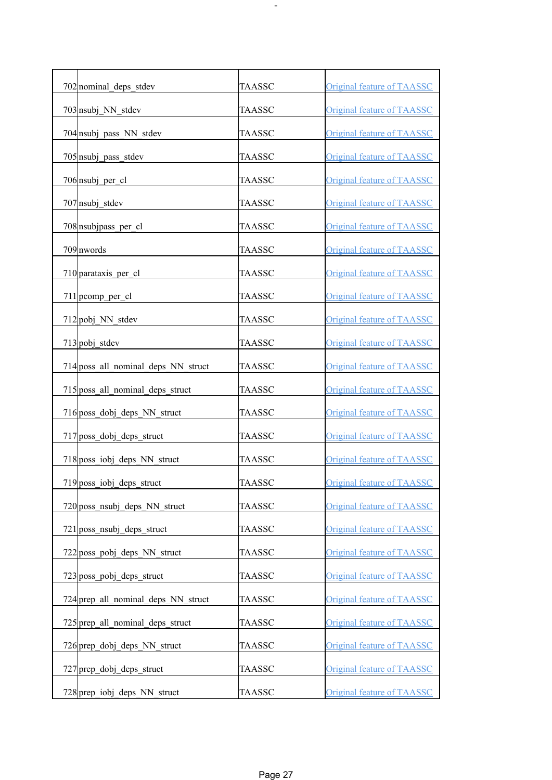| 702 nominal deps stdev              | <b>TAASSC</b> | <b>Original feature of TAASSC</b> |
|-------------------------------------|---------------|-----------------------------------|
| 703 nsubj NN stdev                  | TAASSC        | <b>Original feature of TAASSC</b> |
| 704 nsubj pass NN stdev             | <b>TAASSC</b> | <b>Original feature of TAASSC</b> |
| 705 nsubj pass stdev                | TAASSC        | <b>Original feature of TAASSC</b> |
| 706 nsubj per cl                    | <b>TAASSC</b> | <b>Original feature of TAASSC</b> |
| $707$ <sub>nsubj</sub> stdev        | TAASSC        | <b>Original feature of TAASSC</b> |
| 708 nsubjpass_per_cl                | TAASSC        | <b>Original feature of TAASSC</b> |
| 709 nwords                          | TAASSC        | <b>Original feature of TAASSC</b> |
| 710 parataxis per cl                | TAASSC        | <b>Original feature of TAASSC</b> |
| 711 pcomp per cl                    | TAASSC        | <b>Original feature of TAASSC</b> |
| 712 pobj NN stdev                   | TAASSC        | <b>Original feature of TAASSC</b> |
| 713 pobj stdev                      | TAASSC        | <b>Original feature of TAASSC</b> |
| 714 poss_all_nominal_deps_NN_struct | TAASSC        | <b>Original feature of TAASSC</b> |
| 715 poss_all_nominal_deps_struct    | TAASSC        | Original feature of TAASSC        |
| 716 poss_dobj_deps_NN_struct        | TAASSC        | <b>Original feature of TAASSC</b> |
| 717 poss dobj deps struct           | <b>TAASSC</b> | <b>Original feature of TAASSC</b> |
| 718 poss_iobj_deps_NN_struct        | TAASSC        | Original feature of TAASSC        |
| 719 poss_iobj_deps_struct           | <b>TAASSC</b> | <b>Original feature of TAASSC</b> |
| 720 poss nsubj deps NN struct       | <b>TAASSC</b> | <b>Original feature of TAASSC</b> |
| 721 poss nsubj deps struct          | <b>TAASSC</b> | Original feature of TAASSC        |
| 722 poss pobj deps NN struct        | <b>TAASSC</b> | Original feature of TAASSC        |
| 723 poss pobj deps struct           | <b>TAASSC</b> | <b>Original feature of TAASSC</b> |
| 724 prep all nominal deps NN struct | <b>TAASSC</b> | <b>Original feature of TAASSC</b> |
| 725 prep all nominal deps struct    | <b>TAASSC</b> | <b>Original feature of TAASSC</b> |
| 726 prep dobj deps NN struct        | <b>TAASSC</b> | <b>Original feature of TAASSC</b> |
| 727 prep dobj deps struct           | <b>TAASSC</b> | <b>Original feature of TAASSC</b> |
| 728 prep iobj deps NN struct        | <b>TAASSC</b> | <b>Original feature of TAASSC</b> |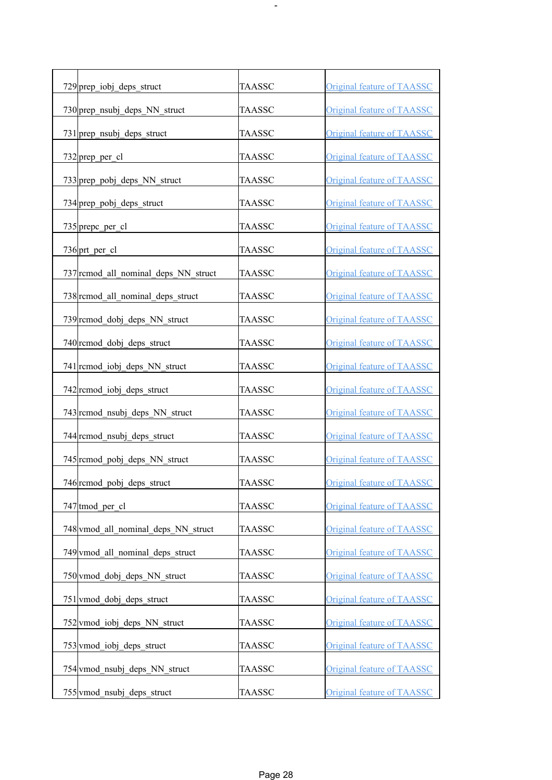| 729 prep iobj deps struct            | <b>TAASSC</b> | <b>Original feature of TAASSC</b> |
|--------------------------------------|---------------|-----------------------------------|
| 730 prep_nsubj_deps_NN_struct        | <b>TAASSC</b> | <b>Original feature of TAASSC</b> |
| 731 prep nsubj deps struct           | TAASSC        | <b>Original feature of TAASSC</b> |
| 732 prep_per_cl                      | TAASSC        | <b>Original feature of TAASSC</b> |
| 733 prep_pobj_deps_NN_struct         | TAASSC        | Original feature of TAASSC        |
| 734 prep pobj deps struct            | TAASSC        | <b>Original feature of TAASSC</b> |
| 735 prepc_per_cl                     | TAASSC        | <b>Original feature of TAASSC</b> |
| $736$ prt per cl                     | TAASSC        | <b>Original feature of TAASSC</b> |
| 737 remod all nominal deps NN struct | TAASSC        | Original feature of TAASSC        |
| 738 rcmod all nominal deps struct    | TAASSC        | <b>Original feature of TAASSC</b> |
| 739 remod dobj deps NN struct        | <b>TAASSC</b> | Original feature of TAASSC        |
| 740 rcmod dobj deps struct           | TAASSC        | <b>Original feature of TAASSC</b> |
| 741 remod iobj deps NN struct        | TAASSC        | Original feature of TAASSC        |
| 742 rcmod_iobj_deps_struct           | <b>TAASSC</b> | <b>Original feature of TAASSC</b> |
| 743 rcmod_nsubj_deps_NN_struct       | TAASSC        | <b>Original feature of TAASSC</b> |
| 744 rcmod nsubj deps struct          | <b>TAASSC</b> | <b>Original feature of TAASSC</b> |
| 745 rcmod_pobj_deps_NN_struct        | <b>TAASSC</b> | <b>Original feature of TAASSC</b> |
| 746 rcmod_pobj_deps_struct           | <b>TAASSC</b> | Original feature of TAASSC        |
| 747 tmod per cl                      | <b>TAASSC</b> | Original feature of TAASSC        |
| 748 vmod all nominal deps NN struct  | TAASSC        | Original feature of TAASSC        |
| 749 vmod all nominal deps struct     | TAASSC        | <b>Original feature of TAASSC</b> |
| 750 vmod dobj deps NN struct         | <b>TAASSC</b> | Original feature of TAASSC        |
| 751 vmod dobj deps struct            | <b>TAASSC</b> | <b>Original feature of TAASSC</b> |
| 752 vmod iobj deps NN struct         | <b>TAASSC</b> | Original feature of TAASSC        |
| 753 vmod iobj deps struct            | TAASSC        | <b>Original feature of TAASSC</b> |
| 754 vmod nsubj deps NN struct        | TAASSC        | Original feature of TAASSC        |
| 755 vmod nsubj deps struct           | <b>TAASSC</b> | <b>Original feature of TAASSC</b> |